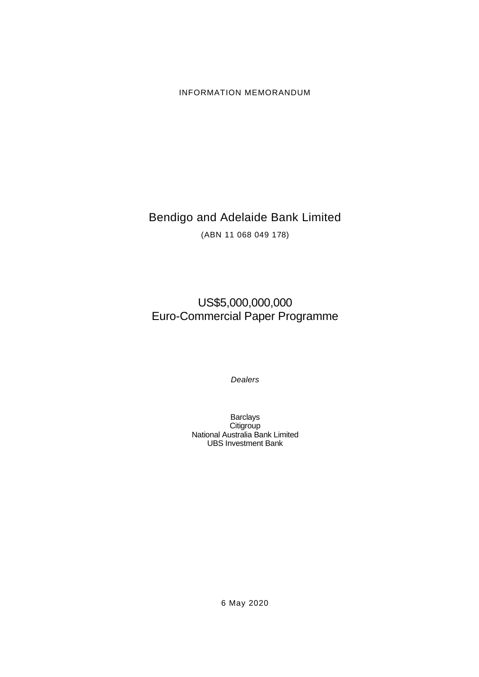# INFORMATION MEMORANDUM

# Bendigo and Adelaide Bank Limited

(ABN 11 068 049 178)

# US\$5,000,000,000 Euro-Commercial Paper Programme

*Dealers*

Barclays **Citigroup** National Australia Bank Limited UBS Investment Bank

6 May 2020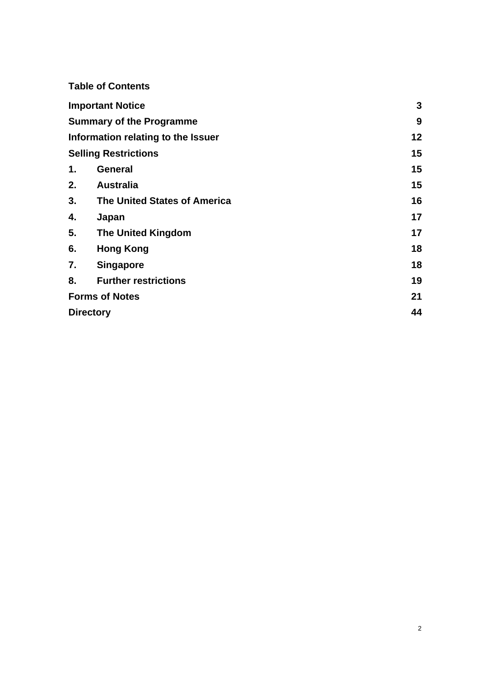|                       | <b>Table of Contents</b>           |    |
|-----------------------|------------------------------------|----|
|                       | <b>Important Notice</b>            | 3  |
|                       | <b>Summary of the Programme</b>    | 9  |
|                       | Information relating to the Issuer | 12 |
|                       | <b>Selling Restrictions</b>        | 15 |
| 1.                    | <b>General</b>                     | 15 |
| 2.                    | <b>Australia</b>                   | 15 |
| 3.                    | The United States of America       | 16 |
| 4.                    | Japan                              | 17 |
| 5.                    | <b>The United Kingdom</b>          | 17 |
| 6.                    | <b>Hong Kong</b>                   | 18 |
| 7.                    | <b>Singapore</b>                   | 18 |
| 8.                    | <b>Further restrictions</b>        | 19 |
| <b>Forms of Notes</b> |                                    | 21 |
| <b>Directory</b>      |                                    | 44 |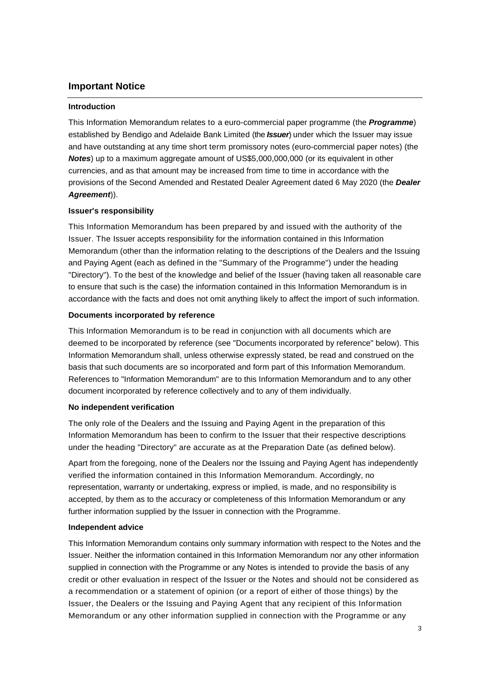## **Important Notice**

#### **Introduction**

This Information Memorandum relates to a euro-commercial paper programme (the *Programme*) established by Bendigo and Adelaide Bank Limited (the *Issuer*) under which the Issuer may issue and have outstanding at any time short term promissory notes (euro-commercial paper notes) (the *Notes*) up to a maximum aggregate amount of US\$5,000,000,000 (or its equivalent in other currencies, and as that amount may be increased from time to time in accordance with the provisions of the Second Amended and Restated Dealer Agreement dated 6 May 2020 (the *Dealer Agreement*)).

#### **Issuer's responsibility**

This Information Memorandum has been prepared by and issued with the authority of the Issuer. The Issuer accepts responsibility for the information contained in this Information Memorandum (other than the information relating to the descriptions of the Dealers and the Issuing and Paying Agent (each as defined in the "Summary of the Programme") under the heading "Directory"). To the best of the knowledge and belief of the Issuer (having taken all reasonable care to ensure that such is the case) the information contained in this Information Memorandum is in accordance with the facts and does not omit anything likely to affect the import of such information.

#### **Documents incorporated by reference**

This Information Memorandum is to be read in conjunction with all documents which are deemed to be incorporated by reference (see "Documents incorporated by reference" below). This Information Memorandum shall, unless otherwise expressly stated, be read and construed on the basis that such documents are so incorporated and form part of this Information Memorandum. References to "Information Memorandum" are to this Information Memorandum and to any other document incorporated by reference collectively and to any of them individually.

#### **No independent verification**

The only role of the Dealers and the Issuing and Paying Agent in the preparation of this Information Memorandum has been to confirm to the Issuer that their respective descriptions under the heading "Directory" are accurate as at the Preparation Date (as defined below).

Apart from the foregoing, none of the Dealers nor the Issuing and Paying Agent has independently verified the information contained in this Information Memorandum. Accordingly, no representation, warranty or undertaking, express or implied, is made, and no responsibility is accepted, by them as to the accuracy or completeness of this Information Memorandum or any further information supplied by the Issuer in connection with the Programme.

## **Independent advice**

This Information Memorandum contains only summary information with respect to the Notes and the Issuer. Neither the information contained in this Information Memorandum nor any other information supplied in connection with the Programme or any Notes is intended to provide the basis of any credit or other evaluation in respect of the Issuer or the Notes and should not be considered as a recommendation or a statement of opinion (or a report of either of those things) by the Issuer, the Dealers or the Issuing and Paying Agent that any recipient of this Information Memorandum or any other information supplied in connection with the Programme or any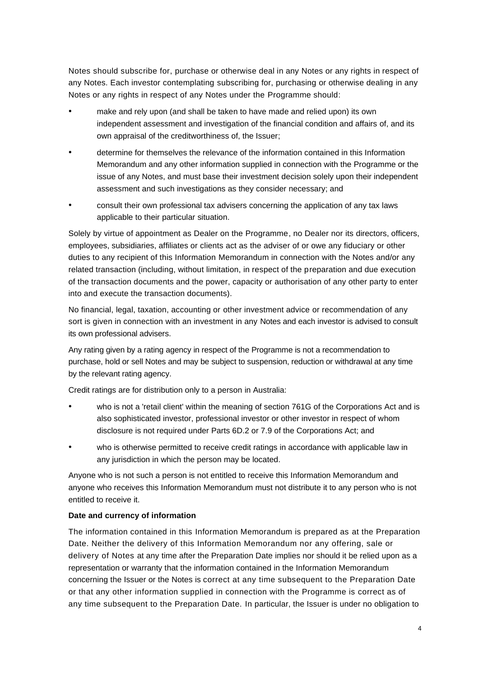Notes should subscribe for, purchase or otherwise deal in any Notes or any rights in respect of any Notes. Each investor contemplating subscribing for, purchasing or otherwise dealing in any Notes or any rights in respect of any Notes under the Programme should:

- make and rely upon (and shall be taken to have made and relied upon) its own independent assessment and investigation of the financial condition and affairs of, and its own appraisal of the creditworthiness of, the Issuer;
- determine for themselves the relevance of the information contained in this Information Memorandum and any other information supplied in connection with the Programme or the issue of any Notes, and must base their investment decision solely upon their independent assessment and such investigations as they consider necessary; and
- consult their own professional tax advisers concerning the application of any tax laws applicable to their particular situation.

Solely by virtue of appointment as Dealer on the Programme, no Dealer nor its directors, officers, employees, subsidiaries, affiliates or clients act as the adviser of or owe any fiduciary or other duties to any recipient of this Information Memorandum in connection with the Notes and/or any related transaction (including, without limitation, in respect of the preparation and due execution of the transaction documents and the power, capacity or authorisation of any other party to enter into and execute the transaction documents).

No financial, legal, taxation, accounting or other investment advice or recommendation of any sort is given in connection with an investment in any Notes and each investor is advised to consult its own professional advisers.

Any rating given by a rating agency in respect of the Programme is not a recommendation to purchase, hold or sell Notes and may be subject to suspension, reduction or withdrawal at any time by the relevant rating agency.

Credit ratings are for distribution only to a person in Australia:

- who is not a 'retail client' within the meaning of section 761G of the Corporations Act and is also sophisticated investor, professional investor or other investor in respect of whom disclosure is not required under Parts 6D.2 or 7.9 of the Corporations Act; and
- who is otherwise permitted to receive credit ratings in accordance with applicable law in any jurisdiction in which the person may be located.

Anyone who is not such a person is not entitled to receive this Information Memorandum and anyone who receives this Information Memorandum must not distribute it to any person who is not entitled to receive it.

## **Date and currency of information**

The information contained in this Information Memorandum is prepared as at the Preparation Date. Neither the delivery of this Information Memorandum nor any offering, sale or delivery of Notes at any time after the Preparation Date implies nor should it be relied upon as a representation or warranty that the information contained in the Information Memorandum concerning the Issuer or the Notes is correct at any time subsequent to the Preparation Date or that any other information supplied in connection with the Programme is correct as of any time subsequent to the Preparation Date. In particular, the Issuer is under no obligation to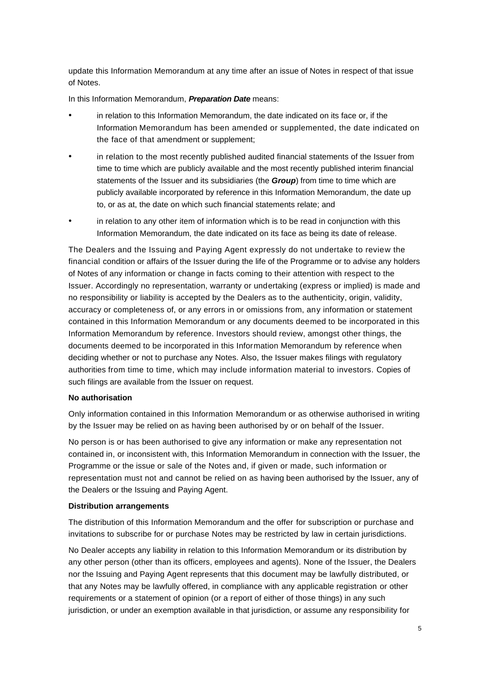update this Information Memorandum at any time after an issue of Notes in respect of that issue of Notes.

In this Information Memorandum, *Preparation Date* means:

- in relation to this Information Memorandum, the date indicated on its face or, if the Information Memorandum has been amended or supplemented, the date indicated on the face of that amendment or supplement;
- in relation to the most recently published audited financial statements of the Issuer from time to time which are publicly available and the most recently published interim financial statements of the Issuer and its subsidiaries (the *Group*) from time to time which are publicly available incorporated by reference in this Information Memorandum, the date up to, or as at, the date on which such financial statements relate; and
- in relation to any other item of information which is to be read in conjunction with this Information Memorandum, the date indicated on its face as being its date of release.

The Dealers and the Issuing and Paying Agent expressly do not undertake to review the financial condition or affairs of the Issuer during the life of the Programme or to advise any holders of Notes of any information or change in facts coming to their attention with respect to the Issuer. Accordingly no representation, warranty or undertaking (express or implied) is made and no responsibility or liability is accepted by the Dealers as to the authenticity, origin, validity, accuracy or completeness of, or any errors in or omissions from, any information or statement contained in this Information Memorandum or any documents deemed to be incorporated in this Information Memorandum by reference. Investors should review, amongst other things, the documents deemed to be incorporated in this Information Memorandum by reference when deciding whether or not to purchase any Notes. Also, the Issuer makes filings with regulatory authorities from time to time, which may include information material to investors. Copies of such filings are available from the Issuer on request.

#### **No authorisation**

Only information contained in this Information Memorandum or as otherwise authorised in writing by the Issuer may be relied on as having been authorised by or on behalf of the Issuer.

No person is or has been authorised to give any information or make any representation not contained in, or inconsistent with, this Information Memorandum in connection with the Issuer, the Programme or the issue or sale of the Notes and, if given or made, such information or representation must not and cannot be relied on as having been authorised by the Issuer, any of the Dealers or the Issuing and Paying Agent.

#### **Distribution arrangements**

The distribution of this Information Memorandum and the offer for subscription or purchase and invitations to subscribe for or purchase Notes may be restricted by law in certain jurisdictions.

No Dealer accepts any liability in relation to this Information Memorandum or its distribution by any other person (other than its officers, employees and agents). None of the Issuer, the Dealers nor the Issuing and Paying Agent represents that this document may be lawfully distributed, or that any Notes may be lawfully offered, in compliance with any applicable registration or other requirements or a statement of opinion (or a report of either of those things) in any such jurisdiction, or under an exemption available in that jurisdiction, or assume any responsibility for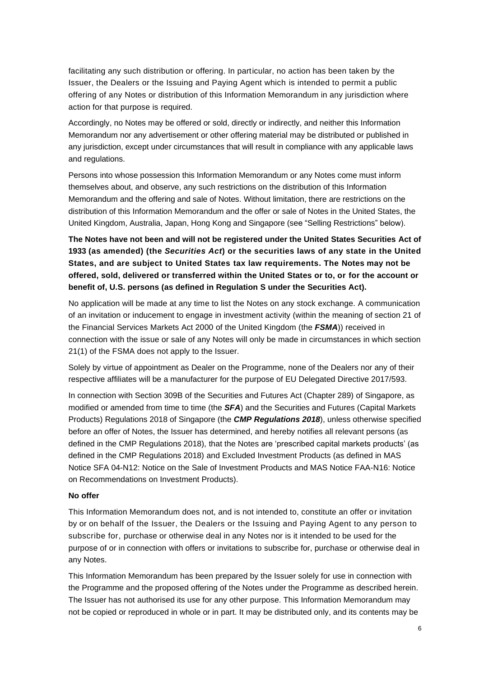facilitating any such distribution or offering. In particular, no action has been taken by the Issuer, the Dealers or the Issuing and Paying Agent which is intended to permit a public offering of any Notes or distribution of this Information Memorandum in any jurisdiction where action for that purpose is required.

Accordingly, no Notes may be offered or sold, directly or indirectly, and neither this Information Memorandum nor any advertisement or other offering material may be distributed or published in any jurisdiction, except under circumstances that will result in compliance with any applicable laws and regulations.

Persons into whose possession this Information Memorandum or any Notes come must inform themselves about, and observe, any such restrictions on the distribution of this Information Memorandum and the offering and sale of Notes. Without limitation, there are restrictions on the distribution of this Information Memorandum and the offer or sale of Notes in the United States, the United Kingdom, Australia, Japan, Hong Kong and Singapore (see "Selling Restrictions" below).

# **The Notes have not been and will not be registered under the United States Securities Act of 1933 (as amended) (the** *Securities Act***) or the securities laws of any state in the United States, and are subject to United States tax law requirements. The Notes may not be offered, sold, delivered or transferred within the United States or to, or for the account or benefit of, U.S. persons (as defined in Regulation S under the Securities Act).**

No application will be made at any time to list the Notes on any stock exchange. A communication of an invitation or inducement to engage in investment activity (within the meaning of section 21 of the Financial Services Markets Act 2000 of the United Kingdom (the *FSMA*)) received in connection with the issue or sale of any Notes will only be made in circumstances in which section 21(1) of the FSMA does not apply to the Issuer.

Solely by virtue of appointment as Dealer on the Programme, none of the Dealers nor any of their respective affiliates will be a manufacturer for the purpose of EU Delegated Directive 2017/593.

In connection with Section 309B of the Securities and Futures Act (Chapter 289) of Singapore, as modified or amended from time to time (the *SFA*) and the Securities and Futures (Capital Markets Products) Regulations 2018 of Singapore (the *CMP Regulations 2018*), unless otherwise specified before an offer of Notes, the Issuer has determined, and hereby notifies all relevant persons (as defined in the CMP Regulations 2018), that the Notes are 'prescribed capital markets products' (as defined in the CMP Regulations 2018) and Excluded Investment Products (as defined in MAS Notice SFA 04-N12: Notice on the Sale of Investment Products and MAS Notice FAA-N16: Notice on Recommendations on Investment Products).

## **No offer**

This Information Memorandum does not, and is not intended to, constitute an offer or invitation by or on behalf of the Issuer, the Dealers or the Issuing and Paying Agent to any person to subscribe for, purchase or otherwise deal in any Notes nor is it intended to be used for the purpose of or in connection with offers or invitations to subscribe for, purchase or otherwise deal in any Notes.

This Information Memorandum has been prepared by the Issuer solely for use in connection with the Programme and the proposed offering of the Notes under the Programme as described herein. The Issuer has not authorised its use for any other purpose. This Information Memorandum may not be copied or reproduced in whole or in part. It may be distributed only, and its contents may be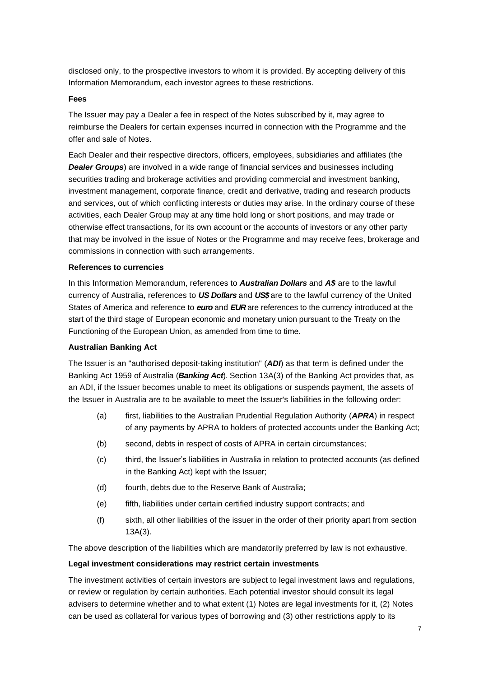disclosed only, to the prospective investors to whom it is provided. By accepting delivery of this Information Memorandum, each investor agrees to these restrictions.

## **Fees**

The Issuer may pay a Dealer a fee in respect of the Notes subscribed by it, may agree to reimburse the Dealers for certain expenses incurred in connection with the Programme and the offer and sale of Notes.

Each Dealer and their respective directors, officers, employees, subsidiaries and affiliates (the *Dealer Groups*) are involved in a wide range of financial services and businesses including securities trading and brokerage activities and providing commercial and investment banking, investment management, corporate finance, credit and derivative, trading and research products and services, out of which conflicting interests or duties may arise. In the ordinary course of these activities, each Dealer Group may at any time hold long or short positions, and may trade or otherwise effect transactions, for its own account or the accounts of investors or any other party that may be involved in the issue of Notes or the Programme and may receive fees, brokerage and commissions in connection with such arrangements.

#### **References to currencies**

In this Information Memorandum, references to *Australian Dollars* and *A\$* are to the lawful currency of Australia, references to *US Dollars* and *US\$* are to the lawful currency of the United States of America and reference to *euro* and *EUR* are references to the currency introduced at the start of the third stage of European economic and monetary union pursuant to the Treaty on the Functioning of the European Union, as amended from time to time.

## **Australian Banking Act**

The Issuer is an "authorised deposit-taking institution" (*ADI*) as that term is defined under the Banking Act 1959 of Australia (*Banking Act*). Section 13A(3) of the Banking Act provides that, as an ADI, if the Issuer becomes unable to meet its obligations or suspends payment, the assets of the Issuer in Australia are to be available to meet the Issuer's liabilities in the following order:

- (a) first, liabilities to the Australian Prudential Regulation Authority (*APRA*) in respect of any payments by APRA to holders of protected accounts under the Banking Act;
- (b) second, debts in respect of costs of APRA in certain circumstances;
- (c) third, the Issuer's liabilities in Australia in relation to protected accounts (as defined in the Banking Act) kept with the Issuer;
- (d) fourth, debts due to the Reserve Bank of Australia;
- (e) fifth, liabilities under certain certified industry support contracts; and
- (f) sixth, all other liabilities of the issuer in the order of their priority apart from section 13A(3).

The above description of the liabilities which are mandatorily preferred by law is not exhaustive.

#### **Legal investment considerations may restrict certain investments**

The investment activities of certain investors are subject to legal investment laws and regulations, or review or regulation by certain authorities. Each potential investor should consult its legal advisers to determine whether and to what extent (1) Notes are legal investments for it, (2) Notes can be used as collateral for various types of borrowing and (3) other restrictions apply to its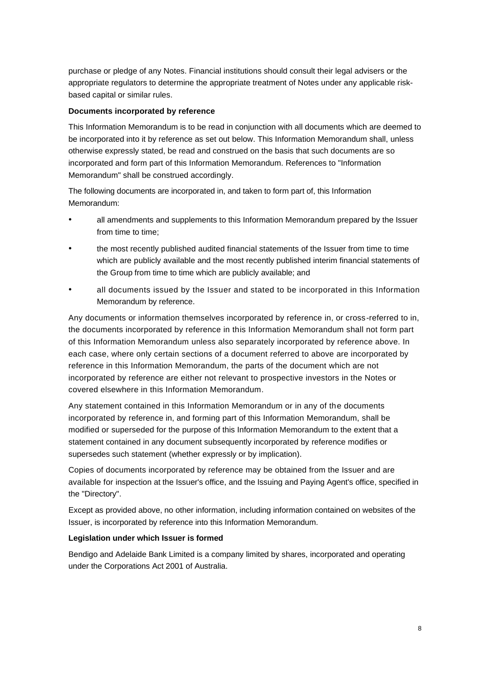purchase or pledge of any Notes. Financial institutions should consult their legal advisers or the appropriate regulators to determine the appropriate treatment of Notes under any applicable riskbased capital or similar rules.

## **Documents incorporated by reference**

This Information Memorandum is to be read in conjunction with all documents which are deemed to be incorporated into it by reference as set out below. This Information Memorandum shall, unless otherwise expressly stated, be read and construed on the basis that such documents are so incorporated and form part of this Information Memorandum. References to "Information Memorandum" shall be construed accordingly.

The following documents are incorporated in, and taken to form part of, this Information Memorandum:

- all amendments and supplements to this Information Memorandum prepared by the Issuer from time to time;
- the most recently published audited financial statements of the Issuer from time to time which are publicly available and the most recently published interim financial statements of the Group from time to time which are publicly available; and
- all documents issued by the Issuer and stated to be incorporated in this Information Memorandum by reference.

Any documents or information themselves incorporated by reference in, or cross-referred to in, the documents incorporated by reference in this Information Memorandum shall not form part of this Information Memorandum unless also separately incorporated by reference above. In each case, where only certain sections of a document referred to above are incorporated by reference in this Information Memorandum, the parts of the document which are not incorporated by reference are either not relevant to prospective investors in the Notes or covered elsewhere in this Information Memorandum.

Any statement contained in this Information Memorandum or in any of the documents incorporated by reference in, and forming part of this Information Memorandum, shall be modified or superseded for the purpose of this Information Memorandum to the extent that a statement contained in any document subsequently incorporated by reference modifies or supersedes such statement (whether expressly or by implication).

Copies of documents incorporated by reference may be obtained from the Issuer and are available for inspection at the Issuer's office, and the Issuing and Paying Agent's office, specified in the "Directory".

Except as provided above, no other information, including information contained on websites of the Issuer, is incorporated by reference into this Information Memorandum.

## **Legislation under which Issuer is formed**

Bendigo and Adelaide Bank Limited is a company limited by shares, incorporated and operating under the Corporations Act 2001 of Australia.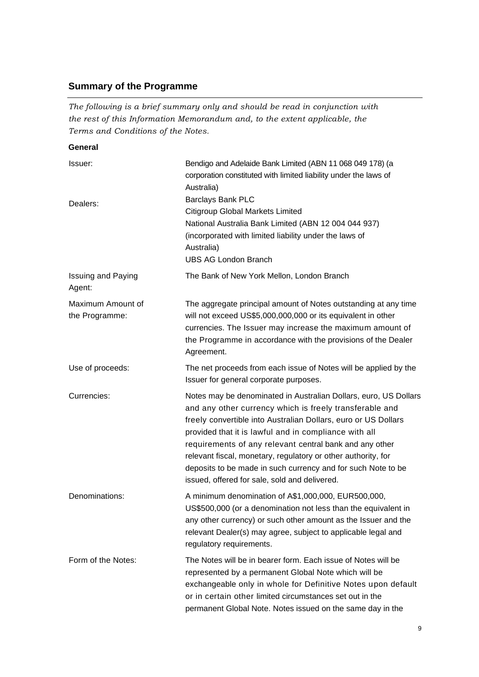# **Summary of the Programme**

*The following is a brief summary only and should be read in conjunction with the rest of this Information Memorandum and, to the extent applicable, the Terms and Conditions of the Notes.*

**General**

| Issuer:                             | Bendigo and Adelaide Bank Limited (ABN 11 068 049 178) (a<br>corporation constituted with limited liability under the laws of<br>Australia)                                                                                                                                                                                                                                                                                                                                                         |
|-------------------------------------|-----------------------------------------------------------------------------------------------------------------------------------------------------------------------------------------------------------------------------------------------------------------------------------------------------------------------------------------------------------------------------------------------------------------------------------------------------------------------------------------------------|
| Dealers:                            | Barclays Bank PLC<br>Citigroup Global Markets Limited<br>National Australia Bank Limited (ABN 12 004 044 937)<br>(incorporated with limited liability under the laws of<br>Australia)<br><b>UBS AG London Branch</b>                                                                                                                                                                                                                                                                                |
| <b>Issuing and Paying</b><br>Agent: | The Bank of New York Mellon, London Branch                                                                                                                                                                                                                                                                                                                                                                                                                                                          |
| Maximum Amount of<br>the Programme: | The aggregate principal amount of Notes outstanding at any time<br>will not exceed US\$5,000,000,000 or its equivalent in other<br>currencies. The Issuer may increase the maximum amount of<br>the Programme in accordance with the provisions of the Dealer<br>Agreement.                                                                                                                                                                                                                         |
| Use of proceeds:                    | The net proceeds from each issue of Notes will be applied by the<br>Issuer for general corporate purposes.                                                                                                                                                                                                                                                                                                                                                                                          |
| Currencies:                         | Notes may be denominated in Australian Dollars, euro, US Dollars<br>and any other currency which is freely transferable and<br>freely convertible into Australian Dollars, euro or US Dollars<br>provided that it is lawful and in compliance with all<br>requirements of any relevant central bank and any other<br>relevant fiscal, monetary, regulatory or other authority, for<br>deposits to be made in such currency and for such Note to be<br>issued, offered for sale, sold and delivered. |
| Denominations:                      | A minimum denomination of A\$1,000,000, EUR500,000,<br>US\$500,000 (or a denomination not less than the equivalent in<br>any other currency) or such other amount as the Issuer and the<br>relevant Dealer(s) may agree, subject to applicable legal and<br>regulatory requirements.                                                                                                                                                                                                                |
| Form of the Notes:                  | The Notes will be in bearer form. Each issue of Notes will be<br>represented by a permanent Global Note which will be<br>exchangeable only in whole for Definitive Notes upon default<br>or in certain other limited circumstances set out in the<br>permanent Global Note. Notes issued on the same day in the                                                                                                                                                                                     |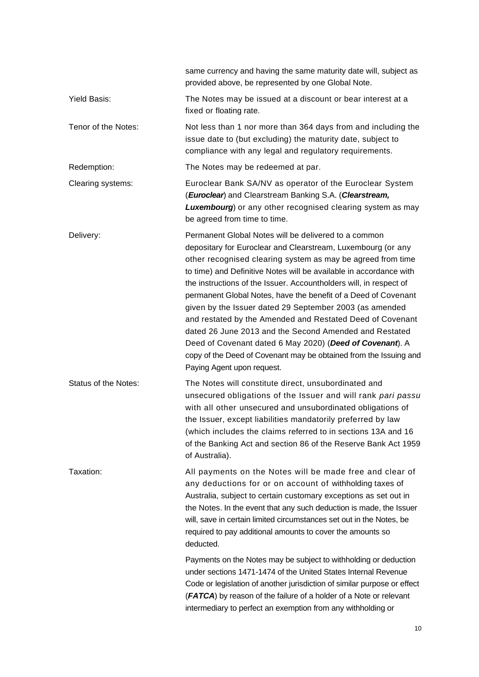|                      | same currency and having the same maturity date will, subject as<br>provided above, be represented by one Global Note.                                                                                                                                                                                                                                                                                                                                                                                                                                                                                                                                                                                                                             |  |
|----------------------|----------------------------------------------------------------------------------------------------------------------------------------------------------------------------------------------------------------------------------------------------------------------------------------------------------------------------------------------------------------------------------------------------------------------------------------------------------------------------------------------------------------------------------------------------------------------------------------------------------------------------------------------------------------------------------------------------------------------------------------------------|--|
| Yield Basis:         | The Notes may be issued at a discount or bear interest at a<br>fixed or floating rate.                                                                                                                                                                                                                                                                                                                                                                                                                                                                                                                                                                                                                                                             |  |
| Tenor of the Notes:  | Not less than 1 nor more than 364 days from and including the<br>issue date to (but excluding) the maturity date, subject to<br>compliance with any legal and regulatory requirements.                                                                                                                                                                                                                                                                                                                                                                                                                                                                                                                                                             |  |
| Redemption:          | The Notes may be redeemed at par.                                                                                                                                                                                                                                                                                                                                                                                                                                                                                                                                                                                                                                                                                                                  |  |
| Clearing systems:    | Euroclear Bank SA/NV as operator of the Euroclear System<br>(Euroclear) and Clearstream Banking S.A. (Clearstream,<br><b>Luxembourg</b> ) or any other recognised clearing system as may<br>be agreed from time to time.                                                                                                                                                                                                                                                                                                                                                                                                                                                                                                                           |  |
| Delivery:            | Permanent Global Notes will be delivered to a common<br>depositary for Euroclear and Clearstream, Luxembourg (or any<br>other recognised clearing system as may be agreed from time<br>to time) and Definitive Notes will be available in accordance with<br>the instructions of the Issuer. Accountholders will, in respect of<br>permanent Global Notes, have the benefit of a Deed of Covenant<br>given by the Issuer dated 29 September 2003 (as amended<br>and restated by the Amended and Restated Deed of Covenant<br>dated 26 June 2013 and the Second Amended and Restated<br>Deed of Covenant dated 6 May 2020) (Deed of Covenant). A<br>copy of the Deed of Covenant may be obtained from the Issuing and<br>Paying Agent upon request. |  |
| Status of the Notes: | The Notes will constitute direct, unsubordinated and<br>unsecured obligations of the Issuer and will rank pari passu<br>with all other unsecured and unsubordinated obligations of<br>the Issuer, except liabilities mandatorily preferred by law<br>(which includes the claims referred to in sections 13A and 16<br>of the Banking Act and section 86 of the Reserve Bank Act 1959<br>of Australia).                                                                                                                                                                                                                                                                                                                                             |  |
| Taxation:            | All payments on the Notes will be made free and clear of<br>any deductions for or on account of withholding taxes of<br>Australia, subject to certain customary exceptions as set out in<br>the Notes. In the event that any such deduction is made, the Issuer<br>will, save in certain limited circumstances set out in the Notes, be<br>required to pay additional amounts to cover the amounts so<br>deducted.                                                                                                                                                                                                                                                                                                                                 |  |
|                      | Payments on the Notes may be subject to withholding or deduction<br>under sections 1471-1474 of the United States Internal Revenue<br>Code or legislation of another jurisdiction of similar purpose or effect<br>(FATCA) by reason of the failure of a holder of a Note or relevant<br>intermediary to perfect an exemption from any withholding or                                                                                                                                                                                                                                                                                                                                                                                               |  |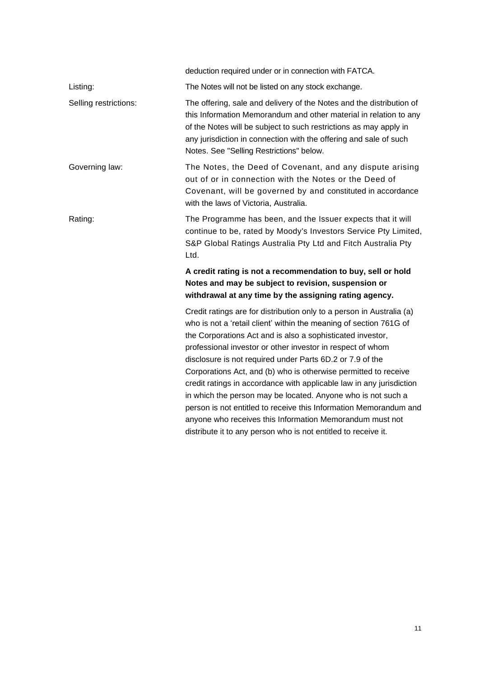|                       | deduction required under or in connection with FATCA.                                                                                                                                                                                                                                                                                                                                                                                                                                                                                                                                                                                                                                                                                              |  |
|-----------------------|----------------------------------------------------------------------------------------------------------------------------------------------------------------------------------------------------------------------------------------------------------------------------------------------------------------------------------------------------------------------------------------------------------------------------------------------------------------------------------------------------------------------------------------------------------------------------------------------------------------------------------------------------------------------------------------------------------------------------------------------------|--|
| Listing:              | The Notes will not be listed on any stock exchange.                                                                                                                                                                                                                                                                                                                                                                                                                                                                                                                                                                                                                                                                                                |  |
| Selling restrictions: | The offering, sale and delivery of the Notes and the distribution of<br>this Information Memorandum and other material in relation to any<br>of the Notes will be subject to such restrictions as may apply in<br>any jurisdiction in connection with the offering and sale of such<br>Notes. See "Selling Restrictions" below.                                                                                                                                                                                                                                                                                                                                                                                                                    |  |
| Governing law:        | The Notes, the Deed of Covenant, and any dispute arising<br>out of or in connection with the Notes or the Deed of<br>Covenant, will be governed by and constituted in accordance<br>with the laws of Victoria, Australia.                                                                                                                                                                                                                                                                                                                                                                                                                                                                                                                          |  |
| Rating:               | The Programme has been, and the Issuer expects that it will<br>continue to be, rated by Moody's Investors Service Pty Limited,<br>S&P Global Ratings Australia Pty Ltd and Fitch Australia Pty<br>Ltd.                                                                                                                                                                                                                                                                                                                                                                                                                                                                                                                                             |  |
|                       | A credit rating is not a recommendation to buy, sell or hold<br>Notes and may be subject to revision, suspension or<br>withdrawal at any time by the assigning rating agency.                                                                                                                                                                                                                                                                                                                                                                                                                                                                                                                                                                      |  |
|                       | Credit ratings are for distribution only to a person in Australia (a)<br>who is not a 'retail client' within the meaning of section 761G of<br>the Corporations Act and is also a sophisticated investor,<br>professional investor or other investor in respect of whom<br>disclosure is not required under Parts 6D.2 or 7.9 of the<br>Corporations Act, and (b) who is otherwise permitted to receive<br>credit ratings in accordance with applicable law in any jurisdiction<br>in which the person may be located. Anyone who is not such a<br>person is not entitled to receive this Information Memorandum and<br>anyone who receives this Information Memorandum must not<br>distribute it to any person who is not entitled to receive it. |  |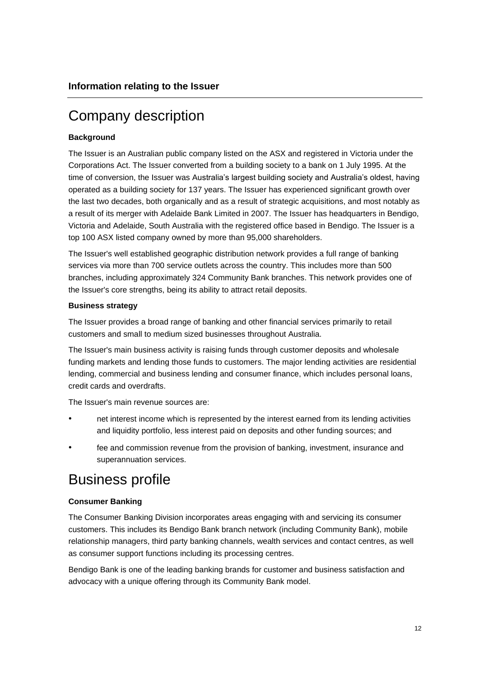# Company description

## **Background**

The Issuer is an Australian public company listed on the ASX and registered in Victoria under the Corporations Act. The Issuer converted from a building society to a bank on 1 July 1995. At the time of conversion, the Issuer was Australia's largest building society and Australia's oldest, having operated as a building society for 137 years. The Issuer has experienced significant growth over the last two decades, both organically and as a result of strategic acquisitions, and most notably as a result of its merger with Adelaide Bank Limited in 2007. The Issuer has headquarters in Bendigo, Victoria and Adelaide, South Australia with the registered office based in Bendigo. The Issuer is a top 100 ASX listed company owned by more than 95,000 shareholders.

The Issuer's well established geographic distribution network provides a full range of banking services via more than 700 service outlets across the country. This includes more than 500 branches, including approximately 324 Community Bank branches. This network provides one of the Issuer's core strengths, being its ability to attract retail deposits.

## **Business strategy**

The Issuer provides a broad range of banking and other financial services primarily to retail customers and small to medium sized businesses throughout Australia.

The Issuer's main business activity is raising funds through customer deposits and wholesale funding markets and lending those funds to customers. The major lending activities are residential lending, commercial and business lending and consumer finance, which includes personal loans, credit cards and overdrafts.

The Issuer's main revenue sources are:

- net interest income which is represented by the interest earned from its lending activities and liquidity portfolio, less interest paid on deposits and other funding sources; and
- fee and commission revenue from the provision of banking, investment, insurance and superannuation services.

# Business profile

## **Consumer Banking**

The Consumer Banking Division incorporates areas engaging with and servicing its consumer customers. This includes its Bendigo Bank branch network (including Community Bank), mobile relationship managers, third party banking channels, wealth services and contact centres, as well as consumer support functions including its processing centres.

Bendigo Bank is one of the leading banking brands for customer and business satisfaction and advocacy with a unique offering through its Community Bank model.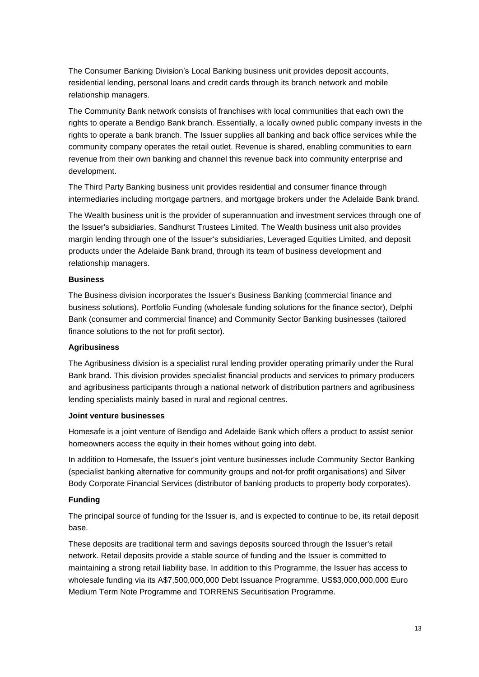The Consumer Banking Division's Local Banking business unit provides deposit accounts, residential lending, personal loans and credit cards through its branch network and mobile relationship managers.

The Community Bank network consists of franchises with local communities that each own the rights to operate a Bendigo Bank branch. Essentially, a locally owned public company invests in the rights to operate a bank branch. The Issuer supplies all banking and back office services while the community company operates the retail outlet. Revenue is shared, enabling communities to earn revenue from their own banking and channel this revenue back into community enterprise and development.

The Third Party Banking business unit provides residential and consumer finance through intermediaries including mortgage partners, and mortgage brokers under the Adelaide Bank brand.

The Wealth business unit is the provider of superannuation and investment services through one of the Issuer's subsidiaries, Sandhurst Trustees Limited. The Wealth business unit also provides margin lending through one of the Issuer's subsidiaries, Leveraged Equities Limited, and deposit products under the Adelaide Bank brand, through its team of business development and relationship managers.

#### **Business**

The Business division incorporates the Issuer's Business Banking (commercial finance and business solutions), Portfolio Funding (wholesale funding solutions for the finance sector), Delphi Bank (consumer and commercial finance) and Community Sector Banking businesses (tailored finance solutions to the not for profit sector).

## **Agribusiness**

The Agribusiness division is a specialist rural lending provider operating primarily under the Rural Bank brand. This division provides specialist financial products and services to primary producers and agribusiness participants through a national network of distribution partners and agribusiness lending specialists mainly based in rural and regional centres.

#### **Joint venture businesses**

Homesafe is a joint venture of Bendigo and Adelaide Bank which offers a product to assist senior homeowners access the equity in their homes without going into debt.

In addition to Homesafe, the Issuer's joint venture businesses include Community Sector Banking (specialist banking alternative for community groups and not-for profit organisations) and Silver Body Corporate Financial Services (distributor of banking products to property body corporates).

## **Funding**

The principal source of funding for the Issuer is, and is expected to continue to be, its retail deposit base.

These deposits are traditional term and savings deposits sourced through the Issuer's retail network. Retail deposits provide a stable source of funding and the Issuer is committed to maintaining a strong retail liability base. In addition to this Programme, the Issuer has access to wholesale funding via its A\$7,500,000,000 Debt Issuance Programme, US\$3,000,000,000 Euro Medium Term Note Programme and TORRENS Securitisation Programme.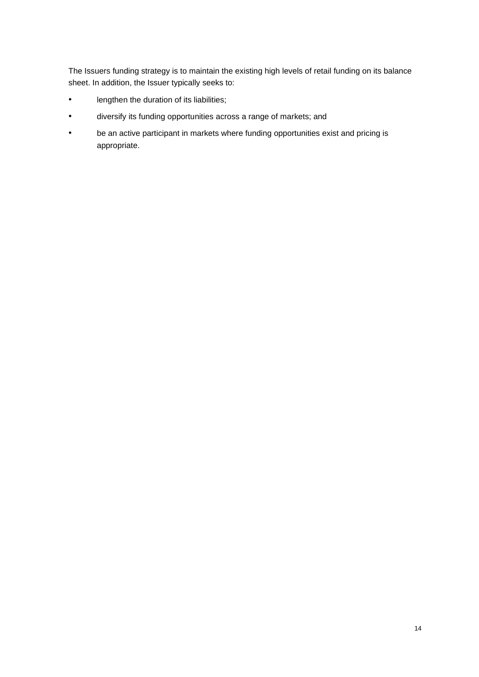The Issuers funding strategy is to maintain the existing high levels of retail funding on its balance sheet. In addition, the Issuer typically seeks to:

- lengthen the duration of its liabilities;
- diversify its funding opportunities across a range of markets; and
- be an active participant in markets where funding opportunities exist and pricing is appropriate.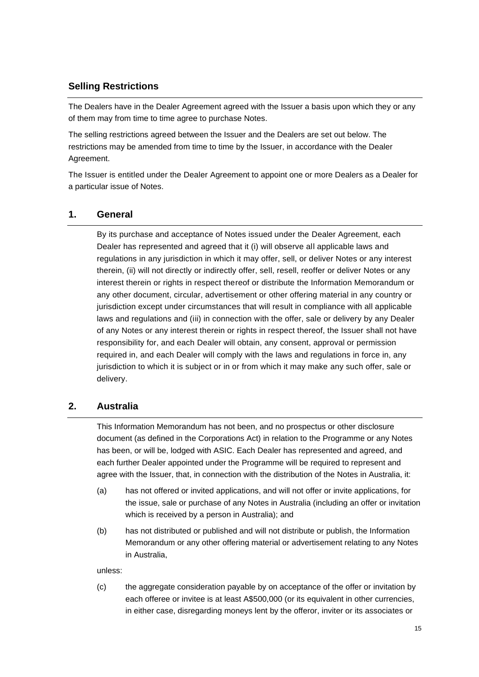# **Selling Restrictions**

The Dealers have in the Dealer Agreement agreed with the Issuer a basis upon which they or any of them may from time to time agree to purchase Notes.

The selling restrictions agreed between the Issuer and the Dealers are set out below. The restrictions may be amended from time to time by the Issuer, in accordance with the Dealer Agreement.

The Issuer is entitled under the Dealer Agreement to appoint one or more Dealers as a Dealer for a particular issue of Notes.

## **1. General**

By its purchase and acceptance of Notes issued under the Dealer Agreement, each Dealer has represented and agreed that it (i) will observe all applicable laws and regulations in any jurisdiction in which it may offer, sell, or deliver Notes or any interest therein, (ii) will not directly or indirectly offer, sell, resell, reoffer or deliver Notes or any interest therein or rights in respect thereof or distribute the Information Memorandum or any other document, circular, advertisement or other offering material in any country or jurisdiction except under circumstances that will result in compliance with all applicable laws and regulations and (iii) in connection with the offer, sale or delivery by any Dealer of any Notes or any interest therein or rights in respect thereof, the Issuer shall not have responsibility for, and each Dealer will obtain, any consent, approval or permission required in, and each Dealer will comply with the laws and regulations in force in, any jurisdiction to which it is subject or in or from which it may make any such offer, sale or delivery.

## **2. Australia**

This Information Memorandum has not been, and no prospectus or other disclosure document (as defined in the Corporations Act) in relation to the Programme or any Notes has been, or will be, lodged with ASIC. Each Dealer has represented and agreed, and each further Dealer appointed under the Programme will be required to represent and agree with the Issuer, that, in connection with the distribution of the Notes in Australia, it:

- (a) has not offered or invited applications, and will not offer or invite applications, for the issue, sale or purchase of any Notes in Australia (including an offer or invitation which is received by a person in Australia); and
- (b) has not distributed or published and will not distribute or publish, the Information Memorandum or any other offering material or advertisement relating to any Notes in Australia,

unless:

(c) the aggregate consideration payable by on acceptance of the offer or invitation by each offeree or invitee is at least A\$500,000 (or its equivalent in other currencies, in either case, disregarding moneys lent by the offeror, inviter or its associates or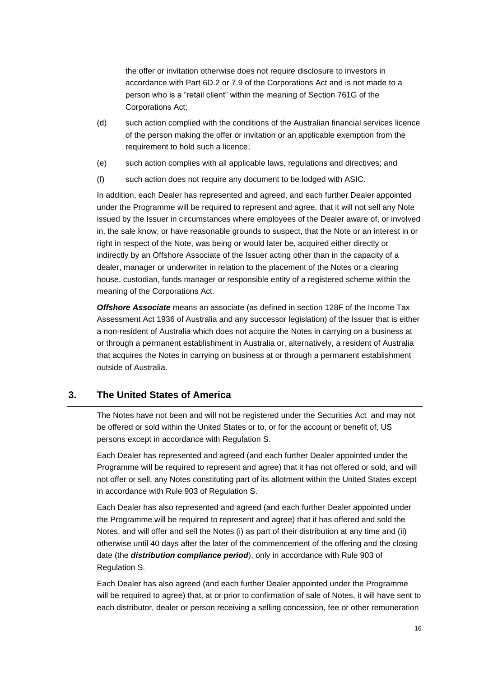the offer or invitation otherwise does not require disclosure to investors in accordance with Part 6D.2 or 7.9 of the Corporations Act and is not made to a person who is a "retail client" within the meaning of Section 761G of the Corporations Act;

- (d) such action complied with the conditions of the Australian financial services licence of the person making the offer or invitation or an applicable exemption from the requirement to hold such a licence;
- (e) such action complies with all applicable laws, regulations and directives; and
- (f) such action does not require any document to be lodged with ASIC.

In addition, each Dealer has represented and agreed, and each further Dealer appointed under the Programme will be required to represent and agree, that it will not sell any Note issued by the Issuer in circumstances where employees of the Dealer aware of, or involved in, the sale know, or have reasonable grounds to suspect, that the Note or an interest in or right in respect of the Note, was being or would later be, acquired either directly or indirectly by an Offshore Associate of the Issuer acting other than in the capacity of a dealer, manager or underwriter in relation to the placement of the Notes or a clearing house, custodian, funds manager or responsible entity of a registered scheme within the meaning of the Corporations Act.

*Offshore Associate* means an associate (as defined in section 128F of the Income Tax Assessment Act 1936 of Australia and any successor legislation) of the Issuer that is either a non-resident of Australia which does not acquire the Notes in carrying on a business at or through a permanent establishment in Australia or, alternatively, a resident of Australia that acquires the Notes in carrying on business at or through a permanent establishment outside of Australia.

## **3. The United States of America**

The Notes have not been and will not be registered under the Securities Act and may not be offered or sold within the United States or to, or for the account or benefit of, US persons except in accordance with Regulation S.

Each Dealer has represented and agreed (and each further Dealer appointed under the Programme will be required to represent and agree) that it has not offered or sold, and will not offer or sell, any Notes constituting part of its allotment within the United States except in accordance with Rule 903 of Regulation S.

Each Dealer has also represented and agreed (and each further Dealer appointed under the Programme will be required to represent and agree) that it has offered and sold the Notes, and will offer and sell the Notes (i) as part of their distribution at any time and (ii) otherwise until 40 days after the later of the commencement of the offering and the closing date (the *distribution compliance period*), only in accordance with Rule 903 of Regulation S.

Each Dealer has also agreed (and each further Dealer appointed under the Programme will be required to agree) that, at or prior to confirmation of sale of Notes, it will have sent to each distributor, dealer or person receiving a selling concession, fee or other remuneration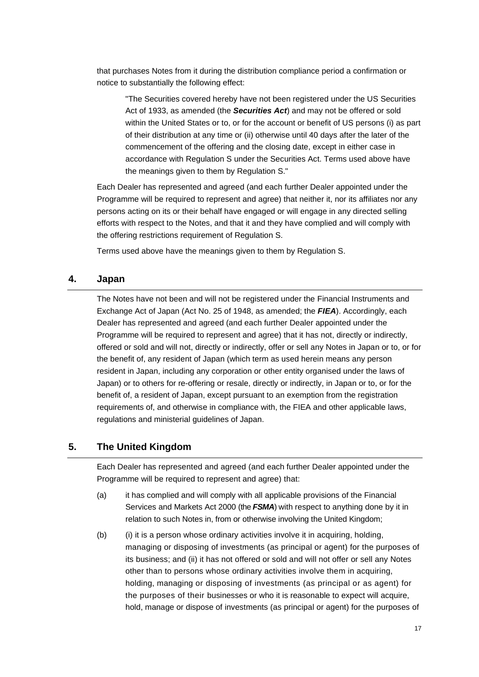that purchases Notes from it during the distribution compliance period a confirmation or notice to substantially the following effect:

"The Securities covered hereby have not been registered under the US Securities Act of 1933, as amended (the *Securities Act*) and may not be offered or sold within the United States or to, or for the account or benefit of US persons (i) as part of their distribution at any time or (ii) otherwise until 40 days after the later of the commencement of the offering and the closing date, except in either case in accordance with Regulation S under the Securities Act. Terms used above have the meanings given to them by Regulation S."

Each Dealer has represented and agreed (and each further Dealer appointed under the Programme will be required to represent and agree) that neither it, nor its affiliates nor any persons acting on its or their behalf have engaged or will engage in any directed selling efforts with respect to the Notes, and that it and they have complied and will comply with the offering restrictions requirement of Regulation S.

Terms used above have the meanings given to them by Regulation S.

## **4. Japan**

The Notes have not been and will not be registered under the Financial Instruments and Exchange Act of Japan (Act No. 25 of 1948, as amended; the *FIEA*). Accordingly, each Dealer has represented and agreed (and each further Dealer appointed under the Programme will be required to represent and agree) that it has not, directly or indirectly, offered or sold and will not, directly or indirectly, offer or sell any Notes in Japan or to, or for the benefit of, any resident of Japan (which term as used herein means any person resident in Japan, including any corporation or other entity organised under the laws of Japan) or to others for re-offering or resale, directly or indirectly, in Japan or to, or for the benefit of, a resident of Japan, except pursuant to an exemption from the registration requirements of, and otherwise in compliance with, the FIEA and other applicable laws, regulations and ministerial guidelines of Japan.

## **5. The United Kingdom**

Each Dealer has represented and agreed (and each further Dealer appointed under the Programme will be required to represent and agree) that:

- (a) it has complied and will comply with all applicable provisions of the Financial Services and Markets Act 2000 (the *FSMA*) with respect to anything done by it in relation to such Notes in, from or otherwise involving the United Kingdom;
- (b) (i) it is a person whose ordinary activities involve it in acquiring, holding, managing or disposing of investments (as principal or agent) for the purposes of its business; and (ii) it has not offered or sold and will not offer or sell any Notes other than to persons whose ordinary activities involve them in acquiring, holding, managing or disposing of investments (as principal or as agent) for the purposes of their businesses or who it is reasonable to expect will acquire, hold, manage or dispose of investments (as principal or agent) for the purposes of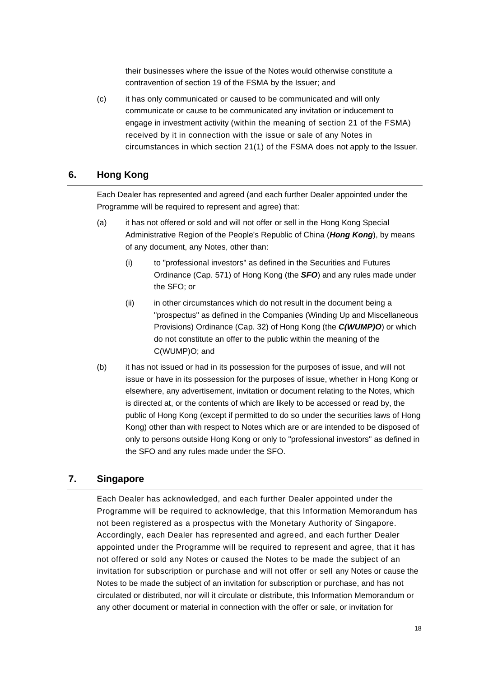their businesses where the issue of the Notes would otherwise constitute a contravention of section 19 of the FSMA by the Issuer; and

(c) it has only communicated or caused to be communicated and will only communicate or cause to be communicated any invitation or inducement to engage in investment activity (within the meaning of section 21 of the FSMA) received by it in connection with the issue or sale of any Notes in circumstances in which section 21(1) of the FSMA does not apply to the Issuer.

## **6. Hong Kong**

Each Dealer has represented and agreed (and each further Dealer appointed under the Programme will be required to represent and agree) that:

- (a) it has not offered or sold and will not offer or sell in the Hong Kong Special Administrative Region of the People's Republic of China (*Hong Kong*), by means of any document, any Notes, other than:
	- (i) to "professional investors" as defined in the Securities and Futures Ordinance (Cap. 571) of Hong Kong (the *SFO*) and any rules made under the SFO; or
	- (ii) in other circumstances which do not result in the document being a "prospectus" as defined in the Companies (Winding Up and Miscellaneous Provisions) Ordinance (Cap. 32) of Hong Kong (the *C(WUMP)O*) or which do not constitute an offer to the public within the meaning of the C(WUMP)O; and
- (b) it has not issued or had in its possession for the purposes of issue, and will not issue or have in its possession for the purposes of issue, whether in Hong Kong or elsewhere, any advertisement, invitation or document relating to the Notes, which is directed at, or the contents of which are likely to be accessed or read by, the public of Hong Kong (except if permitted to do so under the securities laws of Hong Kong) other than with respect to Notes which are or are intended to be disposed of only to persons outside Hong Kong or only to "professional investors" as defined in the SFO and any rules made under the SFO.

## **7. Singapore**

Each Dealer has acknowledged, and each further Dealer appointed under the Programme will be required to acknowledge, that this Information Memorandum has not been registered as a prospectus with the Monetary Authority of Singapore. Accordingly, each Dealer has represented and agreed, and each further Dealer appointed under the Programme will be required to represent and agree, that it has not offered or sold any Notes or caused the Notes to be made the subject of an invitation for subscription or purchase and will not offer or sell any Notes or cause the Notes to be made the subject of an invitation for subscription or purchase, and has not circulated or distributed, nor will it circulate or distribute, this Information Memorandum or any other document or material in connection with the offer or sale, or invitation for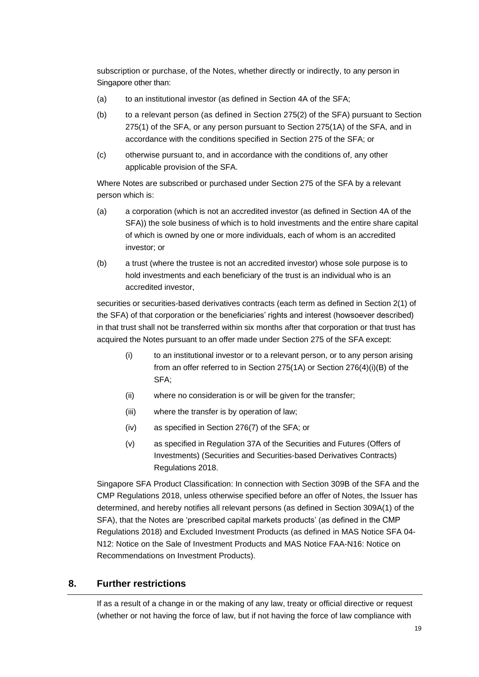subscription or purchase, of the Notes, whether directly or indirectly, to any person in Singapore other than:

- (a) to an institutional investor (as defined in Section 4A of the SFA;
- (b) to a relevant person (as defined in Section 275(2) of the SFA) pursuant to Section 275(1) of the SFA, or any person pursuant to Section 275(1A) of the SFA, and in accordance with the conditions specified in Section 275 of the SFA; or
- (c) otherwise pursuant to, and in accordance with the conditions of, any other applicable provision of the SFA.

Where Notes are subscribed or purchased under Section 275 of the SFA by a relevant person which is:

- (a) a corporation (which is not an accredited investor (as defined in Section 4A of the SFA)) the sole business of which is to hold investments and the entire share capital of which is owned by one or more individuals, each of whom is an accredited investor; or
- (b) a trust (where the trustee is not an accredited investor) whose sole purpose is to hold investments and each beneficiary of the trust is an individual who is an accredited investor,

securities or securities-based derivatives contracts (each term as defined in Section 2(1) of the SFA) of that corporation or the beneficiaries' rights and interest (howsoever described) in that trust shall not be transferred within six months after that corporation or that trust has acquired the Notes pursuant to an offer made under Section 275 of the SFA except:

- (i) to an institutional investor or to a relevant person, or to any person arising from an offer referred to in Section 275(1A) or Section 276(4)(i)(B) of the SFA;
- (ii) where no consideration is or will be given for the transfer;
- (iii) where the transfer is by operation of law;
- (iv) as specified in Section 276(7) of the SFA; or
- (v) as specified in Regulation 37A of the Securities and Futures (Offers of Investments) (Securities and Securities-based Derivatives Contracts) Regulations 2018.

Singapore SFA Product Classification: In connection with Section 309B of the SFA and the CMP Regulations 2018, unless otherwise specified before an offer of Notes, the Issuer has determined, and hereby notifies all relevant persons (as defined in Section 309A(1) of the SFA), that the Notes are 'prescribed capital markets products' (as defined in the CMP Regulations 2018) and Excluded Investment Products (as defined in MAS Notice SFA 04- N12: Notice on the Sale of Investment Products and MAS Notice FAA-N16: Notice on Recommendations on Investment Products).

# **8. Further restrictions**

If as a result of a change in or the making of any law, treaty or official directive or request (whether or not having the force of law, but if not having the force of law compliance with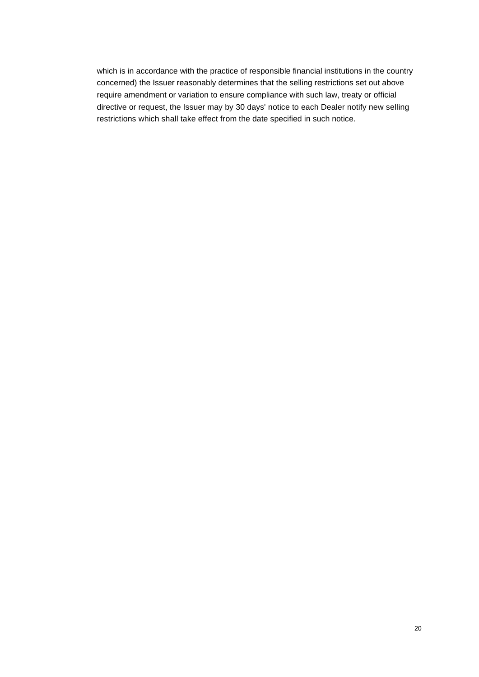which is in accordance with the practice of responsible financial institutions in the country concerned) the Issuer reasonably determines that the selling restrictions set out above require amendment or variation to ensure compliance with such law, treaty or official directive or request, the Issuer may by 30 days' notice to each Dealer notify new selling restrictions which shall take effect from the date specified in such notice.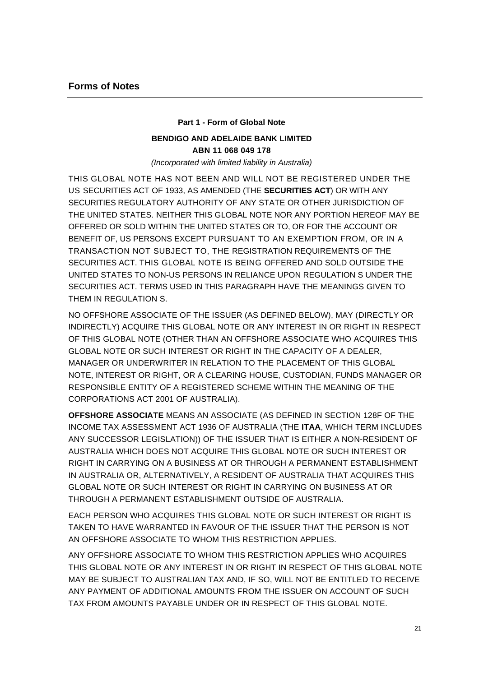## **Part 1 - Form of Global Note**

# **BENDIGO AND ADELAIDE BANK LIMITED ABN 11 068 049 178**

*(Incorporated with limited liability in Australia)*

THIS GLOBAL NOTE HAS NOT BEEN AND WILL NOT BE REGISTERED UNDER THE US SECURITIES ACT OF 1933, AS AMENDED (THE **SECURITIES ACT**) OR WITH ANY SECURITIES REGULATORY AUTHORITY OF ANY STATE OR OTHER JURISDICTION OF THE UNITED STATES. NEITHER THIS GLOBAL NOTE NOR ANY PORTION HEREOF MAY BE OFFERED OR SOLD WITHIN THE UNITED STATES OR TO, OR FOR THE ACCOUNT OR BENEFIT OF, US PERSONS EXCEPT PURSUANT TO AN EXEMPTION FROM, OR IN A TRANSACTION NOT SUBJECT TO, THE REGISTRATION REQUIREMENTS OF THE SECURITIES ACT. THIS GLOBAL NOTE IS BEING OFFERED AND SOLD OUTSIDE THE UNITED STATES TO NON-US PERSONS IN RELIANCE UPON REGULATION S UNDER THE SECURITIES ACT. TERMS USED IN THIS PARAGRAPH HAVE THE MEANINGS GIVEN TO THEM IN REGULATION S.

NO OFFSHORE ASSOCIATE OF THE ISSUER (AS DEFINED BELOW), MAY (DIRECTLY OR INDIRECTLY) ACQUIRE THIS GLOBAL NOTE OR ANY INTEREST IN OR RIGHT IN RESPECT OF THIS GLOBAL NOTE (OTHER THAN AN OFFSHORE ASSOCIATE WHO ACQUIRES THIS GLOBAL NOTE OR SUCH INTEREST OR RIGHT IN THE CAPACITY OF A DEALER, MANAGER OR UNDERWRITER IN RELATION TO THE PLACEMENT OF THIS GLOBAL NOTE, INTEREST OR RIGHT, OR A CLEARING HOUSE, CUSTODIAN, FUNDS MANAGER OR RESPONSIBLE ENTITY OF A REGISTERED SCHEME WITHIN THE MEANING OF THE CORPORATIONS ACT 2001 OF AUSTRALIA).

**OFFSHORE ASSOCIATE** MEANS AN ASSOCIATE (AS DEFINED IN SECTION 128F OF THE INCOME TAX ASSESSMENT ACT 1936 OF AUSTRALIA (THE **ITAA**, WHICH TERM INCLUDES ANY SUCCESSOR LEGISLATION)) OF THE ISSUER THAT IS EITHER A NON-RESIDENT OF AUSTRALIA WHICH DOES NOT ACQUIRE THIS GLOBAL NOTE OR SUCH INTEREST OR RIGHT IN CARRYING ON A BUSINESS AT OR THROUGH A PERMANENT ESTABLISHMENT IN AUSTRALIA OR, ALTERNATIVELY, A RESIDENT OF AUSTRALIA THAT ACQUIRES THIS GLOBAL NOTE OR SUCH INTEREST OR RIGHT IN CARRYING ON BUSINESS AT OR THROUGH A PERMANENT ESTABLISHMENT OUTSIDE OF AUSTRALIA.

EACH PERSON WHO ACQUIRES THIS GLOBAL NOTE OR SUCH INTEREST OR RIGHT IS TAKEN TO HAVE WARRANTED IN FAVOUR OF THE ISSUER THAT THE PERSON IS NOT AN OFFSHORE ASSOCIATE TO WHOM THIS RESTRICTION APPLIES.

ANY OFFSHORE ASSOCIATE TO WHOM THIS RESTRICTION APPLIES WHO ACQUIRES THIS GLOBAL NOTE OR ANY INTEREST IN OR RIGHT IN RESPECT OF THIS GLOBAL NOTE MAY BE SUBJECT TO AUSTRALIAN TAX AND, IF SO, WILL NOT BE ENTITLED TO RECEIVE ANY PAYMENT OF ADDITIONAL AMOUNTS FROM THE ISSUER ON ACCOUNT OF SUCH TAX FROM AMOUNTS PAYABLE UNDER OR IN RESPECT OF THIS GLOBAL NOTE.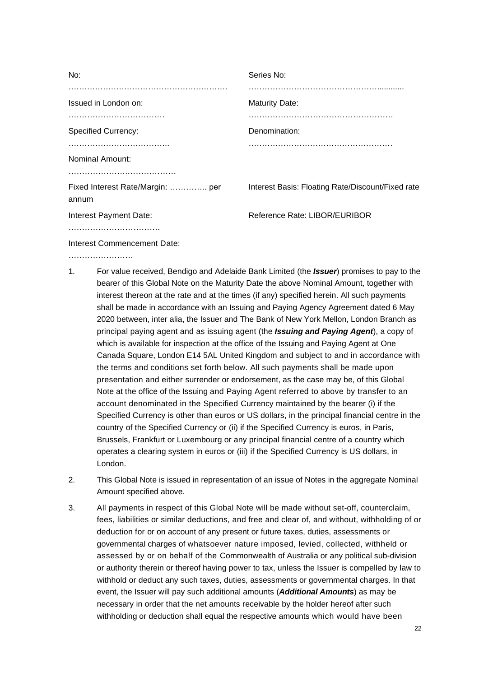| No:                                       | Series No:                                        |
|-------------------------------------------|---------------------------------------------------|
| Issued in London on:                      | <b>Maturity Date:</b>                             |
| <b>Specified Currency:</b>                | Denomination:                                     |
| Nominal Amount:                           |                                                   |
| Fixed Interest Rate/Margin:  per<br>annum | Interest Basis: Floating Rate/Discount/Fixed rate |
| Interest Payment Date:                    | Reference Rate: LIBOR/EURIBOR                     |
| .<br>Interest Commencement Date:          |                                                   |

……………………

- 1. For value received, Bendigo and Adelaide Bank Limited (the *Issuer*) promises to pay to the bearer of this Global Note on the Maturity Date the above Nominal Amount, together with interest thereon at the rate and at the times (if any) specified herein. All such payments shall be made in accordance with an Issuing and Paying Agency Agreement dated 6 May 2020 between, inter alia, the Issuer and The Bank of New York Mellon, London Branch as principal paying agent and as issuing agent (the *Issuing and Paying Agent*), a copy of which is available for inspection at the office of the Issuing and Paying Agent at One Canada Square, London E14 5AL United Kingdom and subject to and in accordance with the terms and conditions set forth below. All such payments shall be made upon presentation and either surrender or endorsement, as the case may be, of this Global Note at the office of the Issuing and Paying Agent referred to above by transfer to an account denominated in the Specified Currency maintained by the bearer (i) if the Specified Currency is other than euros or US dollars, in the principal financial centre in the country of the Specified Currency or (ii) if the Specified Currency is euros, in Paris, Brussels, Frankfurt or Luxembourg or any principal financial centre of a country which operates a clearing system in euros or (iii) if the Specified Currency is US dollars, in London.
- 2. This Global Note is issued in representation of an issue of Notes in the aggregate Nominal Amount specified above.
- 3. All payments in respect of this Global Note will be made without set-off, counterclaim, fees, liabilities or similar deductions, and free and clear of, and without, withholding of or deduction for or on account of any present or future taxes, duties, assessments or governmental charges of whatsoever nature imposed, levied, collected, withheld or assessed by or on behalf of the Commonwealth of Australia or any political sub-division or authority therein or thereof having power to tax, unless the Issuer is compelled by law to withhold or deduct any such taxes, duties, assessments or governmental charges. In that event, the Issuer will pay such additional amounts (*Additional Amounts*) as may be necessary in order that the net amounts receivable by the holder hereof after such withholding or deduction shall equal the respective amounts which would have been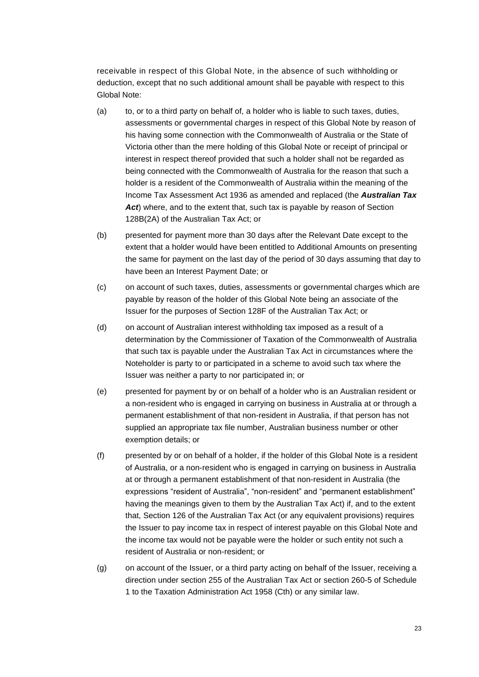receivable in respect of this Global Note, in the absence of such withholding or deduction, except that no such additional amount shall be payable with respect to this Global Note:

- (a) to, or to a third party on behalf of, a holder who is liable to such taxes, duties, assessments or governmental charges in respect of this Global Note by reason of his having some connection with the Commonwealth of Australia or the State of Victoria other than the mere holding of this Global Note or receipt of principal or interest in respect thereof provided that such a holder shall not be regarded as being connected with the Commonwealth of Australia for the reason that such a holder is a resident of the Commonwealth of Australia within the meaning of the Income Tax Assessment Act 1936 as amended and replaced (the *Australian Tax*  Act) where, and to the extent that, such tax is payable by reason of Section 128B(2A) of the Australian Tax Act; or
- (b) presented for payment more than 30 days after the Relevant Date except to the extent that a holder would have been entitled to Additional Amounts on presenting the same for payment on the last day of the period of 30 days assuming that day to have been an Interest Payment Date; or
- (c) on account of such taxes, duties, assessments or governmental charges which are payable by reason of the holder of this Global Note being an associate of the Issuer for the purposes of Section 128F of the Australian Tax Act; or
- (d) on account of Australian interest withholding tax imposed as a result of a determination by the Commissioner of Taxation of the Commonwealth of Australia that such tax is payable under the Australian Tax Act in circumstances where the Noteholder is party to or participated in a scheme to avoid such tax where the Issuer was neither a party to nor participated in; or
- (e) presented for payment by or on behalf of a holder who is an Australian resident or a non-resident who is engaged in carrying on business in Australia at or through a permanent establishment of that non-resident in Australia, if that person has not supplied an appropriate tax file number, Australian business number or other exemption details; or
- (f) presented by or on behalf of a holder, if the holder of this Global Note is a resident of Australia, or a non-resident who is engaged in carrying on business in Australia at or through a permanent establishment of that non-resident in Australia (the expressions "resident of Australia", "non-resident" and "permanent establishment" having the meanings given to them by the Australian Tax Act) if, and to the extent that, Section 126 of the Australian Tax Act (or any equivalent provisions) requires the Issuer to pay income tax in respect of interest payable on this Global Note and the income tax would not be payable were the holder or such entity not such a resident of Australia or non-resident; or
- (g) on account of the Issuer, or a third party acting on behalf of the Issuer, receiving a direction under section 255 of the Australian Tax Act or section 260-5 of Schedule 1 to the Taxation Administration Act 1958 (Cth) or any similar law.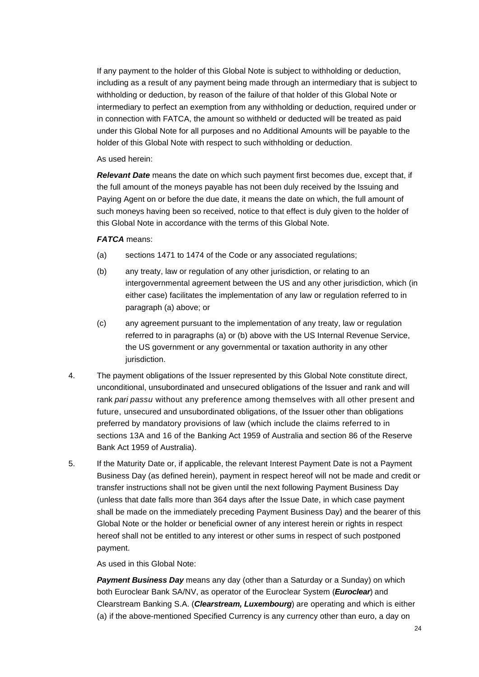If any payment to the holder of this Global Note is subject to withholding or deduction, including as a result of any payment being made through an intermediary that is subject to withholding or deduction, by reason of the failure of that holder of this Global Note or intermediary to perfect an exemption from any withholding or deduction, required under or in connection with FATCA, the amount so withheld or deducted will be treated as paid under this Global Note for all purposes and no Additional Amounts will be payable to the holder of this Global Note with respect to such withholding or deduction.

As used herein:

*Relevant Date* means the date on which such payment first becomes due, except that, if the full amount of the moneys payable has not been duly received by the Issuing and Paying Agent on or before the due date, it means the date on which, the full amount of such moneys having been so received, notice to that effect is duly given to the holder of this Global Note in accordance with the terms of this Global Note.

## *FATCA* means:

- (a) sections 1471 to 1474 of the Code or any associated regulations;
- (b) any treaty, law or regulation of any other jurisdiction, or relating to an intergovernmental agreement between the US and any other jurisdiction, which (in either case) facilitates the implementation of any law or regulation referred to in paragraph (a) above; or
- (c) any agreement pursuant to the implementation of any treaty, law or regulation referred to in paragraphs (a) or (b) above with the US Internal Revenue Service, the US government or any governmental or taxation authority in any other jurisdiction.
- 4. The payment obligations of the Issuer represented by this Global Note constitute direct, unconditional, unsubordinated and unsecured obligations of the Issuer and rank and will rank *pari passu* without any preference among themselves with all other present and future, unsecured and unsubordinated obligations, of the Issuer other than obligations preferred by mandatory provisions of law (which include the claims referred to in sections 13A and 16 of the Banking Act 1959 of Australia and section 86 of the Reserve Bank Act 1959 of Australia).
- 5. If the Maturity Date or, if applicable, the relevant Interest Payment Date is not a Payment Business Day (as defined herein), payment in respect hereof will not be made and credit or transfer instructions shall not be given until the next following Payment Business Day (unless that date falls more than 364 days after the Issue Date, in which case payment shall be made on the immediately preceding Payment Business Day) and the bearer of this Global Note or the holder or beneficial owner of any interest herein or rights in respect hereof shall not be entitled to any interest or other sums in respect of such postponed payment.

As used in this Global Note:

**Payment Business Day** means any day (other than a Saturday or a Sunday) on which both Euroclear Bank SA/NV, as operator of the Euroclear System (*Euroclear*) and Clearstream Banking S.A. (*Clearstream, Luxembourg*) are operating and which is either (a) if the above-mentioned Specified Currency is any currency other than euro, a day on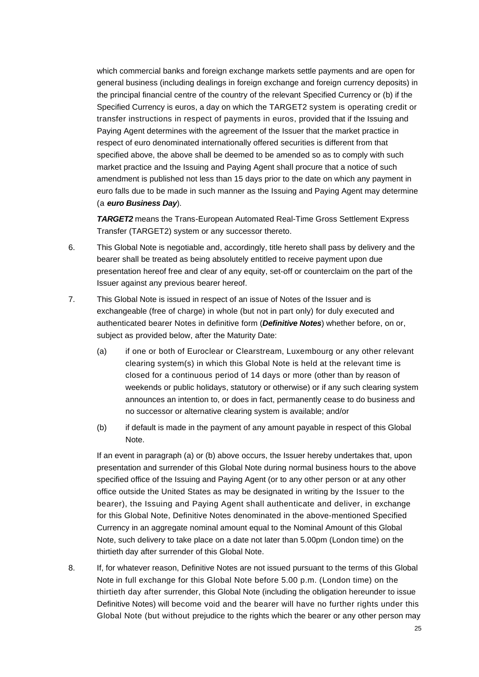which commercial banks and foreign exchange markets settle payments and are open for general business (including dealings in foreign exchange and foreign currency deposits) in the principal financial centre of the country of the relevant Specified Currency or (b) if the Specified Currency is euros, a day on which the TARGET2 system is operating credit or transfer instructions in respect of payments in euros, provided that if the Issuing and Paying Agent determines with the agreement of the Issuer that the market practice in respect of euro denominated internationally offered securities is different from that specified above, the above shall be deemed to be amended so as to comply with such market practice and the Issuing and Paying Agent shall procure that a notice of such amendment is published not less than 15 days prior to the date on which any payment in euro falls due to be made in such manner as the Issuing and Paying Agent may determine (a *euro Business Day*).

*TARGET2* means the Trans-European Automated Real-Time Gross Settlement Express Transfer (TARGET2) system or any successor thereto.

- 6. This Global Note is negotiable and, accordingly, title hereto shall pass by delivery and the bearer shall be treated as being absolutely entitled to receive payment upon due presentation hereof free and clear of any equity, set-off or counterclaim on the part of the Issuer against any previous bearer hereof.
- 7. This Global Note is issued in respect of an issue of Notes of the Issuer and is exchangeable (free of charge) in whole (but not in part only) for duly executed and authenticated bearer Notes in definitive form (*Definitive Notes*) whether before, on or, subject as provided below, after the Maturity Date:
	- (a) if one or both of Euroclear or Clearstream, Luxembourg or any other relevant clearing system(s) in which this Global Note is held at the relevant time is closed for a continuous period of 14 days or more (other than by reason of weekends or public holidays, statutory or otherwise) or if any such clearing system announces an intention to, or does in fact, permanently cease to do business and no successor or alternative clearing system is available; and/or
	- (b) if default is made in the payment of any amount payable in respect of this Global Note.

If an event in paragraph (a) or (b) above occurs, the Issuer hereby undertakes that, upon presentation and surrender of this Global Note during normal business hours to the above specified office of the Issuing and Paying Agent (or to any other person or at any other office outside the United States as may be designated in writing by the Issuer to the bearer), the Issuing and Paying Agent shall authenticate and deliver, in exchange for this Global Note, Definitive Notes denominated in the above-mentioned Specified Currency in an aggregate nominal amount equal to the Nominal Amount of this Global Note, such delivery to take place on a date not later than 5.00pm (London time) on the thirtieth day after surrender of this Global Note.

8. If, for whatever reason, Definitive Notes are not issued pursuant to the terms of this Global Note in full exchange for this Global Note before 5.00 p.m. (London time) on the thirtieth day after surrender, this Global Note (including the obligation hereunder to issue Definitive Notes) will become void and the bearer will have no further rights under this Global Note (but without prejudice to the rights which the bearer or any other person may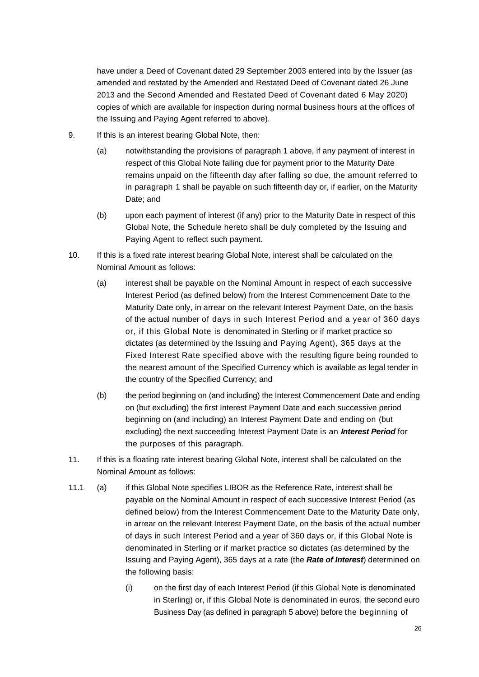have under a Deed of Covenant dated 29 September 2003 entered into by the Issuer (as amended and restated by the Amended and Restated Deed of Covenant dated 26 June 2013 and the Second Amended and Restated Deed of Covenant dated 6 May 2020) copies of which are available for inspection during normal business hours at the offices of the Issuing and Paying Agent referred to above).

- 9. If this is an interest bearing Global Note, then:
	- (a) notwithstanding the provisions of paragraph 1 above, if any payment of interest in respect of this Global Note falling due for payment prior to the Maturity Date remains unpaid on the fifteenth day after falling so due, the amount referred to in paragraph 1 shall be payable on such fifteenth day or, if earlier, on the Maturity Date; and
	- (b) upon each payment of interest (if any) prior to the Maturity Date in respect of this Global Note, the Schedule hereto shall be duly completed by the Issuing and Paying Agent to reflect such payment.
- 10. If this is a fixed rate interest bearing Global Note, interest shall be calculated on the Nominal Amount as follows:
	- (a) interest shall be payable on the Nominal Amount in respect of each successive Interest Period (as defined below) from the Interest Commencement Date to the Maturity Date only, in arrear on the relevant Interest Payment Date, on the basis of the actual number of days in such Interest Period and a year of 360 days or, if this Global Note is denominated in Sterling or if market practice so dictates (as determined by the Issuing and Paying Agent), 365 days at the Fixed Interest Rate specified above with the resulting figure being rounded to the nearest amount of the Specified Currency which is available as legal tender in the country of the Specified Currency; and
	- (b) the period beginning on (and including) the Interest Commencement Date and ending on (but excluding) the first Interest Payment Date and each successive period beginning on (and including) an Interest Payment Date and ending on (but excluding) the next succeeding Interest Payment Date is an *Interest Period* for the purposes of this paragraph.
- 11. If this is a floating rate interest bearing Global Note, interest shall be calculated on the Nominal Amount as follows:
- 11.1 (a) if this Global Note specifies LIBOR as the Reference Rate, interest shall be payable on the Nominal Amount in respect of each successive Interest Period (as defined below) from the Interest Commencement Date to the Maturity Date only, in arrear on the relevant Interest Payment Date, on the basis of the actual number of days in such Interest Period and a year of 360 days or, if this Global Note is denominated in Sterling or if market practice so dictates (as determined by the Issuing and Paying Agent), 365 days at a rate (the *Rate of Interest*) determined on the following basis:
	- (i) on the first day of each Interest Period (if this Global Note is denominated in Sterling) or, if this Global Note is denominated in euros, the second euro Business Day (as defined in paragraph 5 above) before the beginning of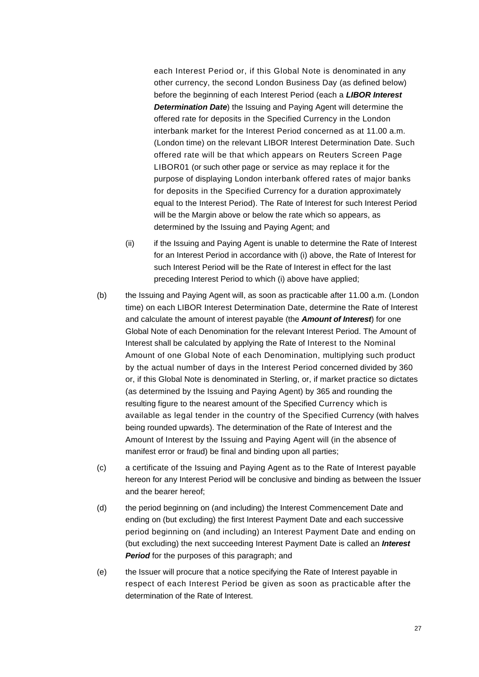each Interest Period or, if this Global Note is denominated in any other currency, the second London Business Day (as defined below) before the beginning of each Interest Period (each a *LIBOR Interest Determination Date*) the Issuing and Paying Agent will determine the offered rate for deposits in the Specified Currency in the London interbank market for the Interest Period concerned as at 11.00 a.m. (London time) on the relevant LIBOR Interest Determination Date. Such offered rate will be that which appears on Reuters Screen Page LIBOR01 (or such other page or service as may replace it for the purpose of displaying London interbank offered rates of major banks for deposits in the Specified Currency for a duration approximately equal to the Interest Period). The Rate of Interest for such Interest Period will be the Margin above or below the rate which so appears, as determined by the Issuing and Paying Agent; and

- (ii) if the Issuing and Paying Agent is unable to determine the Rate of Interest for an Interest Period in accordance with (i) above, the Rate of Interest for such Interest Period will be the Rate of Interest in effect for the last preceding Interest Period to which (i) above have applied;
- (b) the Issuing and Paying Agent will, as soon as practicable after 11.00 a.m. (London time) on each LIBOR Interest Determination Date, determine the Rate of Interest and calculate the amount of interest payable (the *Amount of Interest*) for one Global Note of each Denomination for the relevant Interest Period. The Amount of Interest shall be calculated by applying the Rate of Interest to the Nominal Amount of one Global Note of each Denomination, multiplying such product by the actual number of days in the Interest Period concerned divided by 360 or, if this Global Note is denominated in Sterling, or, if market practice so dictates (as determined by the Issuing and Paying Agent) by 365 and rounding the resulting figure to the nearest amount of the Specified Currency which is available as legal tender in the country of the Specified Currency (with halves being rounded upwards). The determination of the Rate of Interest and the Amount of Interest by the Issuing and Paying Agent will (in the absence of manifest error or fraud) be final and binding upon all parties;
- (c) a certificate of the Issuing and Paying Agent as to the Rate of Interest payable hereon for any Interest Period will be conclusive and binding as between the Issuer and the bearer hereof;
- (d) the period beginning on (and including) the Interest Commencement Date and ending on (but excluding) the first Interest Payment Date and each successive period beginning on (and including) an Interest Payment Date and ending on (but excluding) the next succeeding Interest Payment Date is called an *Interest Period* for the purposes of this paragraph; and
- (e) the Issuer will procure that a notice specifying the Rate of Interest payable in respect of each Interest Period be given as soon as practicable after the determination of the Rate of Interest.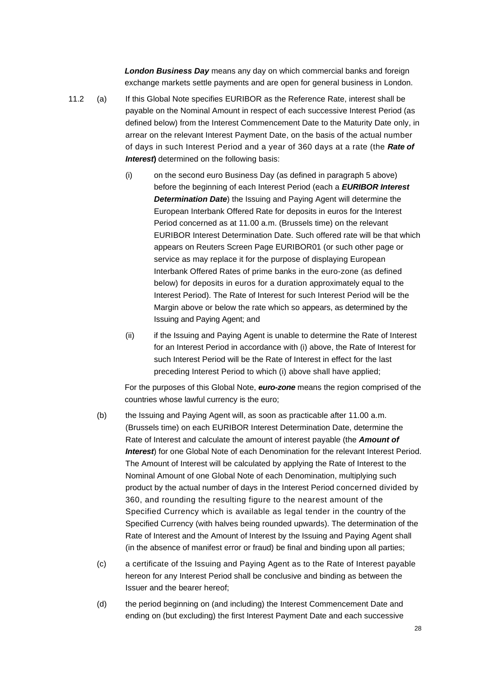*London Business Day* means any day on which commercial banks and foreign exchange markets settle payments and are open for general business in London.

- 11.2 (a) If this Global Note specifies EURIBOR as the Reference Rate, interest shall be payable on the Nominal Amount in respect of each successive Interest Period (as defined below) from the Interest Commencement Date to the Maturity Date only, in arrear on the relevant Interest Payment Date, on the basis of the actual number of days in such Interest Period and a year of 360 days at a rate (the *Rate of*  **Interest**) determined on the following basis:
	- (i) on the second euro Business Day (as defined in paragraph 5 above) before the beginning of each Interest Period (each a *EURIBOR Interest Determination Date*) the Issuing and Paying Agent will determine the European Interbank Offered Rate for deposits in euros for the Interest Period concerned as at 11.00 a.m. (Brussels time) on the relevant EURIBOR Interest Determination Date. Such offered rate will be that which appears on Reuters Screen Page EURIBOR01 (or such other page or service as may replace it for the purpose of displaying European Interbank Offered Rates of prime banks in the euro-zone (as defined below) for deposits in euros for a duration approximately equal to the Interest Period). The Rate of Interest for such Interest Period will be the Margin above or below the rate which so appears, as determined by the Issuing and Paying Agent; and
	- (ii) if the Issuing and Paying Agent is unable to determine the Rate of Interest for an Interest Period in accordance with (i) above, the Rate of Interest for such Interest Period will be the Rate of Interest in effect for the last preceding Interest Period to which (i) above shall have applied;

For the purposes of this Global Note, *euro-zone* means the region comprised of the countries whose lawful currency is the euro;

- (b) the Issuing and Paying Agent will, as soon as practicable after 11.00 a.m. (Brussels time) on each EURIBOR Interest Determination Date, determine the Rate of Interest and calculate the amount of interest payable (the *Amount of Interest*) for one Global Note of each Denomination for the relevant Interest Period. The Amount of Interest will be calculated by applying the Rate of Interest to the Nominal Amount of one Global Note of each Denomination, multiplying such product by the actual number of days in the Interest Period concerned divided by 360, and rounding the resulting figure to the nearest amount of the Specified Currency which is available as legal tender in the country of the Specified Currency (with halves being rounded upwards). The determination of the Rate of Interest and the Amount of Interest by the Issuing and Paying Agent shall (in the absence of manifest error or fraud) be final and binding upon all parties;
- (c) a certificate of the Issuing and Paying Agent as to the Rate of Interest payable hereon for any Interest Period shall be conclusive and binding as between the Issuer and the bearer hereof;
- (d) the period beginning on (and including) the Interest Commencement Date and ending on (but excluding) the first Interest Payment Date and each successive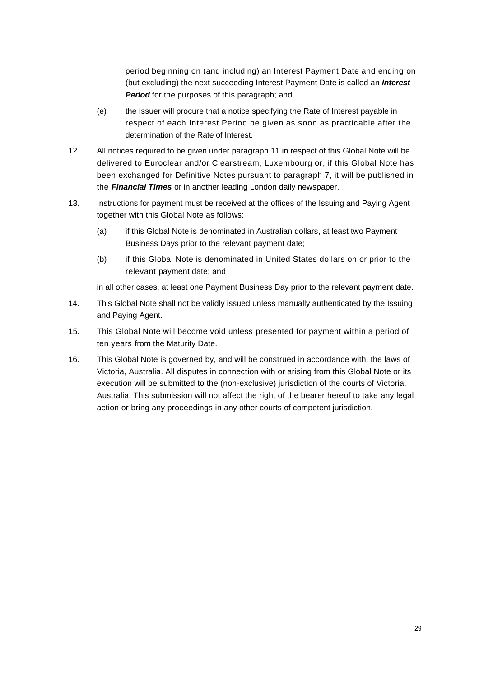period beginning on (and including) an Interest Payment Date and ending on (but excluding) the next succeeding Interest Payment Date is called an *Interest Period* for the purposes of this paragraph; and

- (e) the Issuer will procure that a notice specifying the Rate of Interest payable in respect of each Interest Period be given as soon as practicable after the determination of the Rate of Interest.
- 12. All notices required to be given under paragraph 11 in respect of this Global Note will be delivered to Euroclear and/or Clearstream, Luxembourg or, if this Global Note has been exchanged for Definitive Notes pursuant to paragraph 7, it will be published in the *Financial Times* or in another leading London daily newspaper.
- 13. Instructions for payment must be received at the offices of the Issuing and Paying Agent together with this Global Note as follows:
	- (a) if this Global Note is denominated in Australian dollars, at least two Payment Business Days prior to the relevant payment date;
	- (b) if this Global Note is denominated in United States dollars on or prior to the relevant payment date; and

in all other cases, at least one Payment Business Day prior to the relevant payment date.

- 14. This Global Note shall not be validly issued unless manually authenticated by the Issuing and Paying Agent.
- 15. This Global Note will become void unless presented for payment within a period of ten years from the Maturity Date.
- 16. This Global Note is governed by, and will be construed in accordance with, the laws of Victoria, Australia. All disputes in connection with or arising from this Global Note or its execution will be submitted to the (non-exclusive) jurisdiction of the courts of Victoria, Australia. This submission will not affect the right of the bearer hereof to take any legal action or bring any proceedings in any other courts of competent jurisdiction.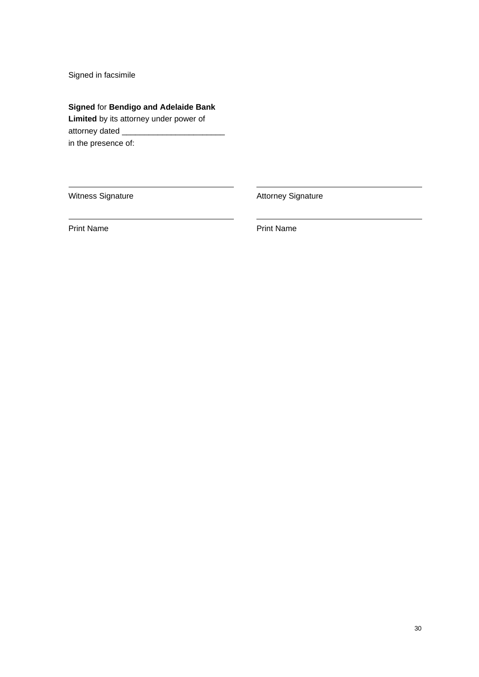Signed in facsimile

**Signed** for **Bendigo and Adelaide Bank** 

**Limited** by its attorney under power of attorney dated \_ in the presence of:

Witness Signature **Attorney Signature** Attorney Signature

Print Name **Print Name**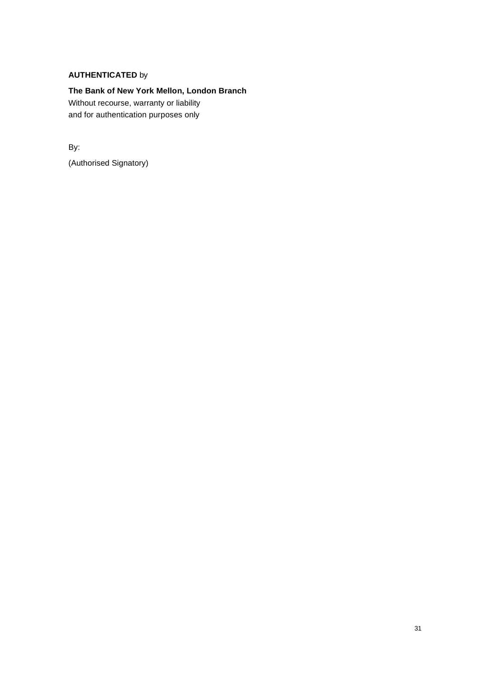## **AUTHENTICATED** by

**The Bank of New York Mellon, London Branch** Without recourse, warranty or liability and for authentication purposes only

By:

(Authorised Signatory)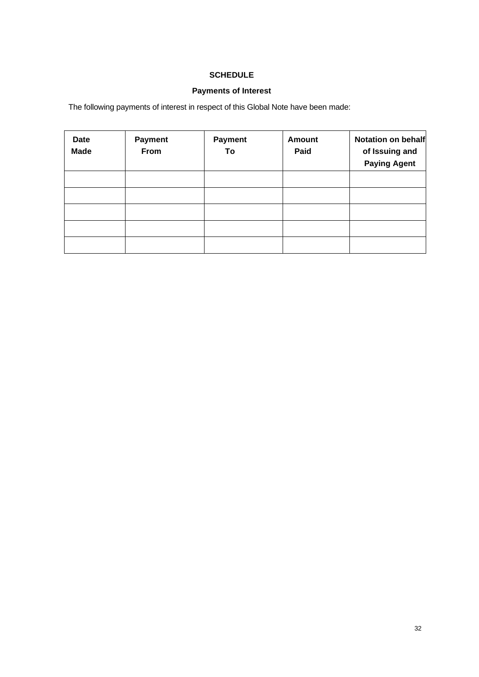# **SCHEDULE**

# **Payments of Interest**

The following payments of interest in respect of this Global Note have been made:

| <b>Date</b><br><b>Made</b> | <b>Payment</b><br>From | <b>Payment</b><br>To | <b>Amount</b><br>Paid | Notation on behalf<br>of Issuing and<br><b>Paying Agent</b> |
|----------------------------|------------------------|----------------------|-----------------------|-------------------------------------------------------------|
|                            |                        |                      |                       |                                                             |
|                            |                        |                      |                       |                                                             |
|                            |                        |                      |                       |                                                             |
|                            |                        |                      |                       |                                                             |
|                            |                        |                      |                       |                                                             |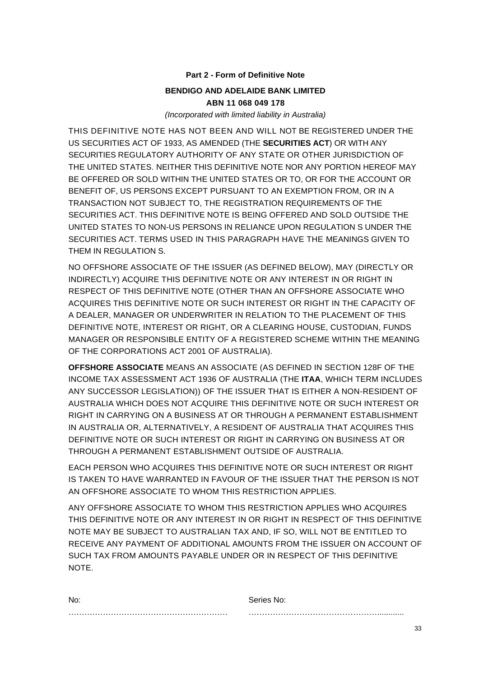## **Part 2 - Form of Definitive Note**

# **BENDIGO AND ADELAIDE BANK LIMITED ABN 11 068 049 178**

*(Incorporated with limited liability in Australia)*

THIS DEFINITIVE NOTE HAS NOT BEEN AND WILL NOT BE REGISTERED UNDER THE US SECURITIES ACT OF 1933, AS AMENDED (THE **SECURITIES ACT**) OR WITH ANY SECURITIES REGULATORY AUTHORITY OF ANY STATE OR OTHER JURISDICTION OF THE UNITED STATES. NEITHER THIS DEFINITIVE NOTE NOR ANY PORTION HEREOF MAY BE OFFERED OR SOLD WITHIN THE UNITED STATES OR TO, OR FOR THE ACCOUNT OR BENEFIT OF, US PERSONS EXCEPT PURSUANT TO AN EXEMPTION FROM, OR IN A TRANSACTION NOT SUBJECT TO, THE REGISTRATION REQUIREMENTS OF THE SECURITIES ACT. THIS DEFINITIVE NOTE IS BEING OFFERED AND SOLD OUTSIDE THE UNITED STATES TO NON-US PERSONS IN RELIANCE UPON REGULATION S UNDER THE SECURITIES ACT. TERMS USED IN THIS PARAGRAPH HAVE THE MEANINGS GIVEN TO THEM IN REGULATION S.

NO OFFSHORE ASSOCIATE OF THE ISSUER (AS DEFINED BELOW), MAY (DIRECTLY OR INDIRECTLY) ACQUIRE THIS DEFINITIVE NOTE OR ANY INTEREST IN OR RIGHT IN RESPECT OF THIS DEFINITIVE NOTE (OTHER THAN AN OFFSHORE ASSOCIATE WHO ACQUIRES THIS DEFINITIVE NOTE OR SUCH INTEREST OR RIGHT IN THE CAPACITY OF A DEALER, MANAGER OR UNDERWRITER IN RELATION TO THE PLACEMENT OF THIS DEFINITIVE NOTE, INTEREST OR RIGHT, OR A CLEARING HOUSE, CUSTODIAN, FUNDS MANAGER OR RESPONSIBLE ENTITY OF A REGISTERED SCHEME WITHIN THE MEANING OF THE CORPORATIONS ACT 2001 OF AUSTRALIA).

**OFFSHORE ASSOCIATE** MEANS AN ASSOCIATE (AS DEFINED IN SECTION 128F OF THE INCOME TAX ASSESSMENT ACT 1936 OF AUSTRALIA (THE **ITAA**, WHICH TERM INCLUDES ANY SUCCESSOR LEGISLATION)) OF THE ISSUER THAT IS EITHER A NON-RESIDENT OF AUSTRALIA WHICH DOES NOT ACQUIRE THIS DEFINITIVE NOTE OR SUCH INTEREST OR RIGHT IN CARRYING ON A BUSINESS AT OR THROUGH A PERMANENT ESTABLISHMENT IN AUSTRALIA OR, ALTERNATIVELY, A RESIDENT OF AUSTRALIA THAT ACQUIRES THIS DEFINITIVE NOTE OR SUCH INTEREST OR RIGHT IN CARRYING ON BUSINESS AT OR THROUGH A PERMANENT ESTABLISHMENT OUTSIDE OF AUSTRALIA.

EACH PERSON WHO ACQUIRES THIS DEFINITIVE NOTE OR SUCH INTEREST OR RIGHT IS TAKEN TO HAVE WARRANTED IN FAVOUR OF THE ISSUER THAT THE PERSON IS NOT AN OFFSHORE ASSOCIATE TO WHOM THIS RESTRICTION APPLIES.

ANY OFFSHORE ASSOCIATE TO WHOM THIS RESTRICTION APPLIES WHO ACQUIRES THIS DEFINITIVE NOTE OR ANY INTEREST IN OR RIGHT IN RESPECT OF THIS DEFINITIVE NOTE MAY BE SUBJECT TO AUSTRALIAN TAX AND, IF SO, WILL NOT BE ENTITLED TO RECEIVE ANY PAYMENT OF ADDITIONAL AMOUNTS FROM THE ISSUER ON ACCOUNT OF SUCH TAX FROM AMOUNTS PAYABLE UNDER OR IN RESPECT OF THIS DEFINITIVE NOTE.

| No: | Series No: |  |
|-----|------------|--|
|     |            |  |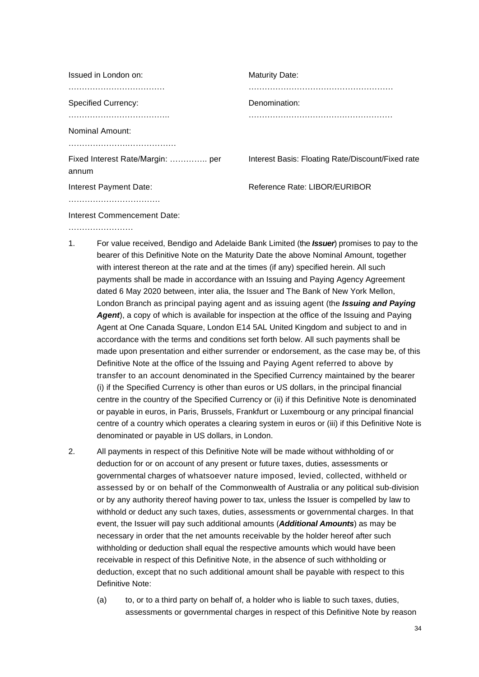| Issued in London on:                      | <b>Maturity Date:</b>                             |
|-------------------------------------------|---------------------------------------------------|
|                                           |                                                   |
| <b>Specified Currency:</b>                | Denomination:                                     |
|                                           |                                                   |
| Nominal Amount:                           |                                                   |
|                                           |                                                   |
| Fixed Interest Rate/Margin:  per<br>annum | Interest Basis: Floating Rate/Discount/Fixed rate |
| Interest Payment Date:                    | Reference Rate: LIBOR/EURIBOR                     |
|                                           |                                                   |
|                                           |                                                   |

Interest Commencement Date:

- ……………………………
- 1. For value received, Bendigo and Adelaide Bank Limited (the *Issuer*) promises to pay to the bearer of this Definitive Note on the Maturity Date the above Nominal Amount, together with interest thereon at the rate and at the times (if any) specified herein. All such payments shall be made in accordance with an Issuing and Paying Agency Agreement dated 6 May 2020 between, inter alia, the Issuer and The Bank of New York Mellon, London Branch as principal paying agent and as issuing agent (the *Issuing and Paying Agent*), a copy of which is available for inspection at the office of the Issuing and Paying Agent at One Canada Square, London E14 5AL United Kingdom and subject to and in accordance with the terms and conditions set forth below. All such payments shall be made upon presentation and either surrender or endorsement, as the case may be, of this Definitive Note at the office of the Issuing and Paying Agent referred to above by transfer to an account denominated in the Specified Currency maintained by the bearer (i) if the Specified Currency is other than euros or US dollars, in the principal financial centre in the country of the Specified Currency or (ii) if this Definitive Note is denominated or payable in euros, in Paris, Brussels, Frankfurt or Luxembourg or any principal financial centre of a country which operates a clearing system in euros or (iii) if this Definitive Note is denominated or payable in US dollars, in London.
- 2. All payments in respect of this Definitive Note will be made without withholding of or deduction for or on account of any present or future taxes, duties, assessments or governmental charges of whatsoever nature imposed, levied, collected, withheld or assessed by or on behalf of the Commonwealth of Australia or any political sub-division or by any authority thereof having power to tax, unless the Issuer is compelled by law to withhold or deduct any such taxes, duties, assessments or governmental charges. In that event, the Issuer will pay such additional amounts (*Additional Amounts*) as may be necessary in order that the net amounts receivable by the holder hereof after such withholding or deduction shall equal the respective amounts which would have been receivable in respect of this Definitive Note, in the absence of such withholding or deduction, except that no such additional amount shall be payable with respect to this Definitive Note:
	- (a) to, or to a third party on behalf of, a holder who is liable to such taxes, duties, assessments or governmental charges in respect of this Definitive Note by reason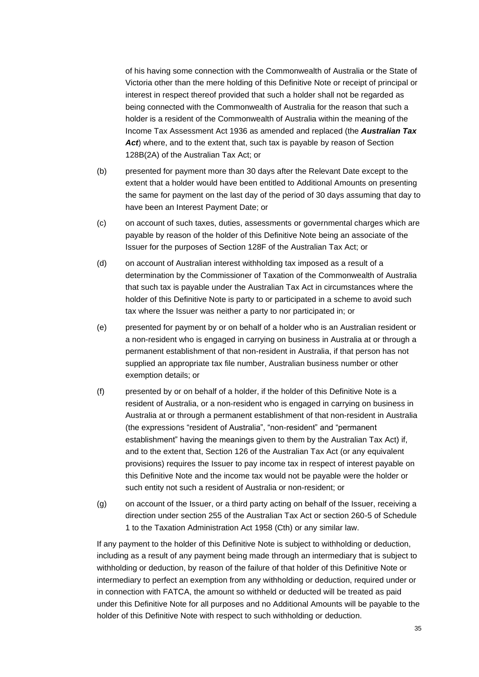of his having some connection with the Commonwealth of Australia or the State of Victoria other than the mere holding of this Definitive Note or receipt of principal or interest in respect thereof provided that such a holder shall not be regarded as being connected with the Commonwealth of Australia for the reason that such a holder is a resident of the Commonwealth of Australia within the meaning of the Income Tax Assessment Act 1936 as amended and replaced (the *Australian Tax*  Act) where, and to the extent that, such tax is payable by reason of Section 128B(2A) of the Australian Tax Act; or

- (b) presented for payment more than 30 days after the Relevant Date except to the extent that a holder would have been entitled to Additional Amounts on presenting the same for payment on the last day of the period of 30 days assuming that day to have been an Interest Payment Date; or
- (c) on account of such taxes, duties, assessments or governmental charges which are payable by reason of the holder of this Definitive Note being an associate of the Issuer for the purposes of Section 128F of the Australian Tax Act; or
- (d) on account of Australian interest withholding tax imposed as a result of a determination by the Commissioner of Taxation of the Commonwealth of Australia that such tax is payable under the Australian Tax Act in circumstances where the holder of this Definitive Note is party to or participated in a scheme to avoid such tax where the Issuer was neither a party to nor participated in; or
- (e) presented for payment by or on behalf of a holder who is an Australian resident or a non-resident who is engaged in carrying on business in Australia at or through a permanent establishment of that non-resident in Australia, if that person has not supplied an appropriate tax file number, Australian business number or other exemption details; or
- (f) presented by or on behalf of a holder, if the holder of this Definitive Note is a resident of Australia, or a non-resident who is engaged in carrying on business in Australia at or through a permanent establishment of that non-resident in Australia (the expressions "resident of Australia", "non-resident" and "permanent establishment" having the meanings given to them by the Australian Tax Act) if, and to the extent that, Section 126 of the Australian Tax Act (or any equivalent provisions) requires the Issuer to pay income tax in respect of interest payable on this Definitive Note and the income tax would not be payable were the holder or such entity not such a resident of Australia or non-resident; or
- (g) on account of the Issuer, or a third party acting on behalf of the Issuer, receiving a direction under section 255 of the Australian Tax Act or section 260-5 of Schedule 1 to the Taxation Administration Act 1958 (Cth) or any similar law.

If any payment to the holder of this Definitive Note is subject to withholding or deduction, including as a result of any payment being made through an intermediary that is subject to withholding or deduction, by reason of the failure of that holder of this Definitive Note or intermediary to perfect an exemption from any withholding or deduction, required under or in connection with FATCA, the amount so withheld or deducted will be treated as paid under this Definitive Note for all purposes and no Additional Amounts will be payable to the holder of this Definitive Note with respect to such withholding or deduction.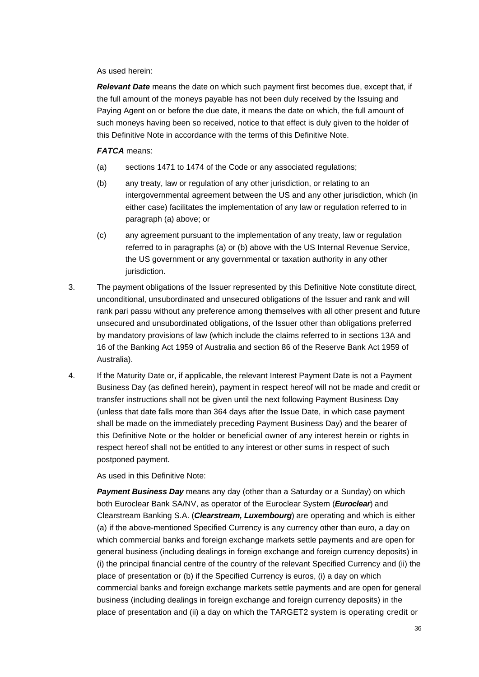As used herein:

*Relevant Date* means the date on which such payment first becomes due, except that, if the full amount of the moneys payable has not been duly received by the Issuing and Paying Agent on or before the due date, it means the date on which, the full amount of such moneys having been so received, notice to that effect is duly given to the holder of this Definitive Note in accordance with the terms of this Definitive Note.

## *FATCA* means:

- (a) sections 1471 to 1474 of the Code or any associated regulations;
- (b) any treaty, law or regulation of any other jurisdiction, or relating to an intergovernmental agreement between the US and any other jurisdiction, which (in either case) facilitates the implementation of any law or regulation referred to in paragraph (a) above; or
- (c) any agreement pursuant to the implementation of any treaty, law or regulation referred to in paragraphs (a) or (b) above with the US Internal Revenue Service, the US government or any governmental or taxation authority in any other jurisdiction.
- 3. The payment obligations of the Issuer represented by this Definitive Note constitute direct, unconditional, unsubordinated and unsecured obligations of the Issuer and rank and will rank pari passu without any preference among themselves with all other present and future unsecured and unsubordinated obligations, of the Issuer other than obligations preferred by mandatory provisions of law (which include the claims referred to in sections 13A and 16 of the Banking Act 1959 of Australia and section 86 of the Reserve Bank Act 1959 of Australia).
- 4. If the Maturity Date or, if applicable, the relevant Interest Payment Date is not a Payment Business Day (as defined herein), payment in respect hereof will not be made and credit or transfer instructions shall not be given until the next following Payment Business Day (unless that date falls more than 364 days after the Issue Date, in which case payment shall be made on the immediately preceding Payment Business Day) and the bearer of this Definitive Note or the holder or beneficial owner of any interest herein or rights in respect hereof shall not be entitled to any interest or other sums in respect of such postponed payment.

As used in this Definitive Note:

**Payment Business Day** means any day (other than a Saturday or a Sunday) on which both Euroclear Bank SA/NV, as operator of the Euroclear System (*Euroclear*) and Clearstream Banking S.A. (*Clearstream, Luxembourg*) are operating and which is either (a) if the above-mentioned Specified Currency is any currency other than euro, a day on which commercial banks and foreign exchange markets settle payments and are open for general business (including dealings in foreign exchange and foreign currency deposits) in (i) the principal financial centre of the country of the relevant Specified Currency and (ii) the place of presentation or (b) if the Specified Currency is euros, (i) a day on which commercial banks and foreign exchange markets settle payments and are open for general business (including dealings in foreign exchange and foreign currency deposits) in the place of presentation and (ii) a day on which the TARGET2 system is operating credit or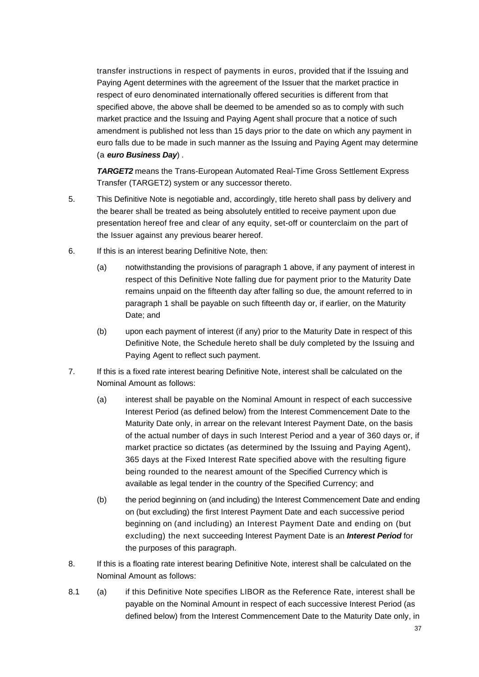transfer instructions in respect of payments in euros, provided that if the Issuing and Paying Agent determines with the agreement of the Issuer that the market practice in respect of euro denominated internationally offered securities is different from that specified above, the above shall be deemed to be amended so as to comply with such market practice and the Issuing and Paying Agent shall procure that a notice of such amendment is published not less than 15 days prior to the date on which any payment in euro falls due to be made in such manner as the Issuing and Paying Agent may determine (a *euro Business Day*) .

*TARGET2* means the Trans-European Automated Real-Time Gross Settlement Express Transfer (TARGET2) system or any successor thereto.

- 5. This Definitive Note is negotiable and, accordingly, title hereto shall pass by delivery and the bearer shall be treated as being absolutely entitled to receive payment upon due presentation hereof free and clear of any equity, set-off or counterclaim on the part of the Issuer against any previous bearer hereof.
- 6. If this is an interest bearing Definitive Note, then:
	- (a) notwithstanding the provisions of paragraph 1 above, if any payment of interest in respect of this Definitive Note falling due for payment prior to the Maturity Date remains unpaid on the fifteenth day after falling so due, the amount referred to in paragraph 1 shall be payable on such fifteenth day or, if earlier, on the Maturity Date; and
	- (b) upon each payment of interest (if any) prior to the Maturity Date in respect of this Definitive Note, the Schedule hereto shall be duly completed by the Issuing and Paying Agent to reflect such payment.
- 7. If this is a fixed rate interest bearing Definitive Note, interest shall be calculated on the Nominal Amount as follows:
	- (a) interest shall be payable on the Nominal Amount in respect of each successive Interest Period (as defined below) from the Interest Commencement Date to the Maturity Date only, in arrear on the relevant Interest Payment Date, on the basis of the actual number of days in such Interest Period and a year of 360 days or, if market practice so dictates (as determined by the Issuing and Paying Agent), 365 days at the Fixed Interest Rate specified above with the resulting figure being rounded to the nearest amount of the Specified Currency which is available as legal tender in the country of the Specified Currency; and
	- (b) the period beginning on (and including) the Interest Commencement Date and ending on (but excluding) the first Interest Payment Date and each successive period beginning on (and including) an Interest Payment Date and ending on (but excluding) the next succeeding Interest Payment Date is an *Interest Period* for the purposes of this paragraph.
- 8. If this is a floating rate interest bearing Definitive Note, interest shall be calculated on the Nominal Amount as follows:
- 8.1 (a) if this Definitive Note specifies LIBOR as the Reference Rate, interest shall be payable on the Nominal Amount in respect of each successive Interest Period (as defined below) from the Interest Commencement Date to the Maturity Date only, in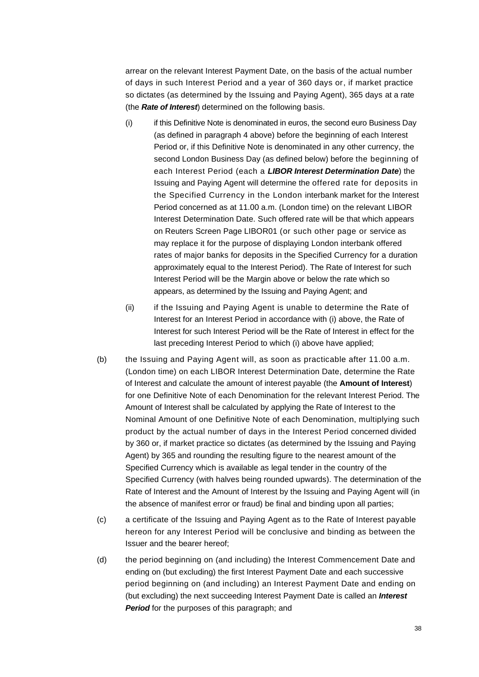arrear on the relevant Interest Payment Date, on the basis of the actual number of days in such Interest Period and a year of 360 days or, if market practice so dictates (as determined by the Issuing and Paying Agent), 365 days at a rate (the *Rate of Interest*) determined on the following basis.

- (i) if this Definitive Note is denominated in euros, the second euro Business Day (as defined in paragraph 4 above) before the beginning of each Interest Period or, if this Definitive Note is denominated in any other currency, the second London Business Day (as defined below) before the beginning of each Interest Period (each a *LIBOR Interest Determination Date*) the Issuing and Paying Agent will determine the offered rate for deposits in the Specified Currency in the London interbank market for the Interest Period concerned as at 11.00 a.m. (London time) on the relevant LIBOR Interest Determination Date. Such offered rate will be that which appears on Reuters Screen Page LIBOR01 (or such other page or service as may replace it for the purpose of displaying London interbank offered rates of major banks for deposits in the Specified Currency for a duration approximately equal to the Interest Period). The Rate of Interest for such Interest Period will be the Margin above or below the rate which so appears, as determined by the Issuing and Paying Agent; and
- (ii) if the Issuing and Paying Agent is unable to determine the Rate of Interest for an Interest Period in accordance with (i) above, the Rate of Interest for such Interest Period will be the Rate of Interest in effect for the last preceding Interest Period to which (i) above have applied;
- (b) the Issuing and Paying Agent will, as soon as practicable after 11.00 a.m. (London time) on each LIBOR Interest Determination Date, determine the Rate of Interest and calculate the amount of interest payable (the **Amount of Interest**) for one Definitive Note of each Denomination for the relevant Interest Period. The Amount of Interest shall be calculated by applying the Rate of Interest to the Nominal Amount of one Definitive Note of each Denomination, multiplying such product by the actual number of days in the Interest Period concerned divided by 360 or, if market practice so dictates (as determined by the Issuing and Paying Agent) by 365 and rounding the resulting figure to the nearest amount of the Specified Currency which is available as legal tender in the country of the Specified Currency (with halves being rounded upwards). The determination of the Rate of Interest and the Amount of Interest by the Issuing and Paying Agent will (in the absence of manifest error or fraud) be final and binding upon all parties;
- (c) a certificate of the Issuing and Paying Agent as to the Rate of Interest payable hereon for any Interest Period will be conclusive and binding as between the Issuer and the bearer hereof;
- (d) the period beginning on (and including) the Interest Commencement Date and ending on (but excluding) the first Interest Payment Date and each successive period beginning on (and including) an Interest Payment Date and ending on (but excluding) the next succeeding Interest Payment Date is called an *Interest Period* for the purposes of this paragraph; and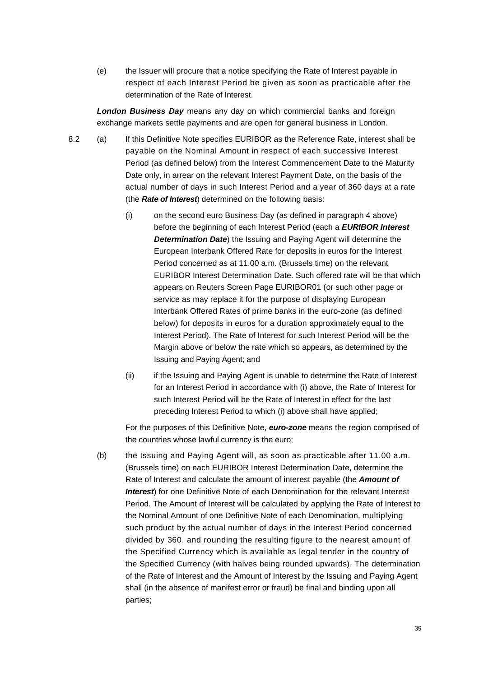(e) the Issuer will procure that a notice specifying the Rate of Interest payable in respect of each Interest Period be given as soon as practicable after the determination of the Rate of Interest.

*London Business Day* means any day on which commercial banks and foreign exchange markets settle payments and are open for general business in London.

- 8.2 (a) If this Definitive Note specifies EURIBOR as the Reference Rate, interest shall be payable on the Nominal Amount in respect of each successive Interest Period (as defined below) from the Interest Commencement Date to the Maturity Date only, in arrear on the relevant Interest Payment Date, on the basis of the actual number of days in such Interest Period and a year of 360 days at a rate (the *Rate of Interest*) determined on the following basis:
	- (i) on the second euro Business Day (as defined in paragraph 4 above) before the beginning of each Interest Period (each a *EURIBOR Interest Determination Date*) the Issuing and Paying Agent will determine the European Interbank Offered Rate for deposits in euros for the Interest Period concerned as at 11.00 a.m. (Brussels time) on the relevant EURIBOR Interest Determination Date. Such offered rate will be that which appears on Reuters Screen Page EURIBOR01 (or such other page or service as may replace it for the purpose of displaying European Interbank Offered Rates of prime banks in the euro-zone (as defined below) for deposits in euros for a duration approximately equal to the Interest Period). The Rate of Interest for such Interest Period will be the Margin above or below the rate which so appears, as determined by the Issuing and Paying Agent; and
	- (ii) if the Issuing and Paying Agent is unable to determine the Rate of Interest for an Interest Period in accordance with (i) above, the Rate of Interest for such Interest Period will be the Rate of Interest in effect for the last preceding Interest Period to which (i) above shall have applied;

For the purposes of this Definitive Note, *euro-zone* means the region comprised of the countries whose lawful currency is the euro;

(b) the Issuing and Paying Agent will, as soon as practicable after 11.00 a.m. (Brussels time) on each EURIBOR Interest Determination Date, determine the Rate of Interest and calculate the amount of interest payable (the *Amount of Interest*) for one Definitive Note of each Denomination for the relevant Interest Period. The Amount of Interest will be calculated by applying the Rate of Interest to the Nominal Amount of one Definitive Note of each Denomination, multiplying such product by the actual number of days in the Interest Period concerned divided by 360, and rounding the resulting figure to the nearest amount of the Specified Currency which is available as legal tender in the country of the Specified Currency (with halves being rounded upwards). The determination of the Rate of Interest and the Amount of Interest by the Issuing and Paying Agent shall (in the absence of manifest error or fraud) be final and binding upon all parties;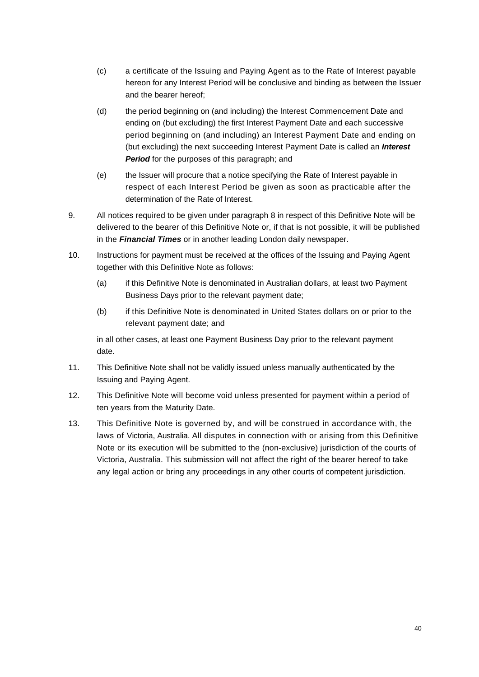- (c) a certificate of the Issuing and Paying Agent as to the Rate of Interest payable hereon for any Interest Period will be conclusive and binding as between the Issuer and the bearer hereof;
- (d) the period beginning on (and including) the Interest Commencement Date and ending on (but excluding) the first Interest Payment Date and each successive period beginning on (and including) an Interest Payment Date and ending on (but excluding) the next succeeding Interest Payment Date is called an *Interest Period* for the purposes of this paragraph; and
- (e) the Issuer will procure that a notice specifying the Rate of Interest payable in respect of each Interest Period be given as soon as practicable after the determination of the Rate of Interest.
- 9. All notices required to be given under paragraph 8 in respect of this Definitive Note will be delivered to the bearer of this Definitive Note or, if that is not possible, it will be published in the *Financial Times* or in another leading London daily newspaper.
- 10. Instructions for payment must be received at the offices of the Issuing and Paying Agent together with this Definitive Note as follows:
	- (a) if this Definitive Note is denominated in Australian dollars, at least two Payment Business Days prior to the relevant payment date;
	- (b) if this Definitive Note is denominated in United States dollars on or prior to the relevant payment date; and

in all other cases, at least one Payment Business Day prior to the relevant payment date.

- 11. This Definitive Note shall not be validly issued unless manually authenticated by the Issuing and Paying Agent.
- 12. This Definitive Note will become void unless presented for payment within a period of ten years from the Maturity Date.
- 13. This Definitive Note is governed by, and will be construed in accordance with, the laws of Victoria, Australia. All disputes in connection with or arising from this Definitive Note or its execution will be submitted to the (non-exclusive) jurisdiction of the courts of Victoria, Australia. This submission will not affect the right of the bearer hereof to take any legal action or bring any proceedings in any other courts of competent jurisdiction.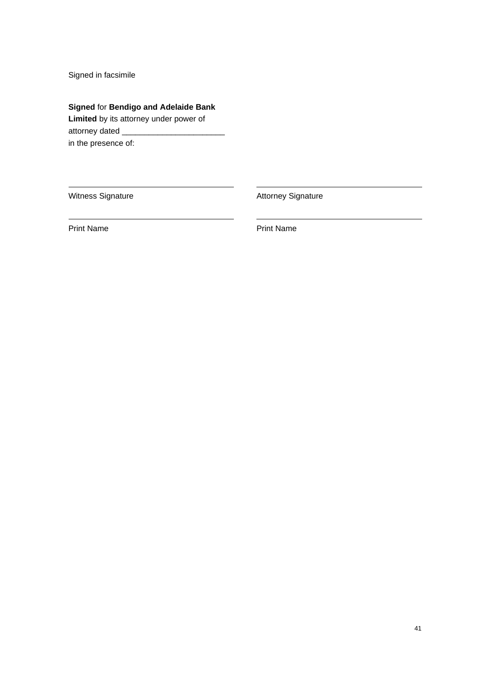Signed in facsimile

**Signed** for **Bendigo and Adelaide Bank** 

**Limited** by its attorney under power of attorney dated \_ in the presence of:

Witness Signature **Attorney Signature** Attorney Signature

Print Name **Print Name**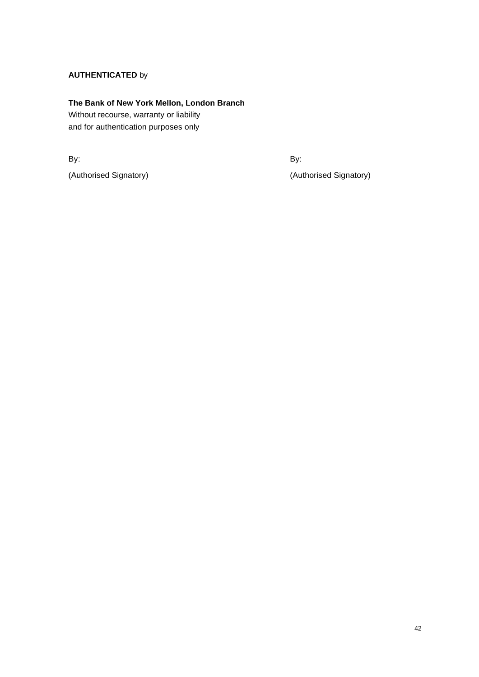## **AUTHENTICATED** by

## **The Bank of New York Mellon, London Branch**

Without recourse, warranty or liability and for authentication purposes only

By: By:

(Authorised Signatory) (Authorised Signatory)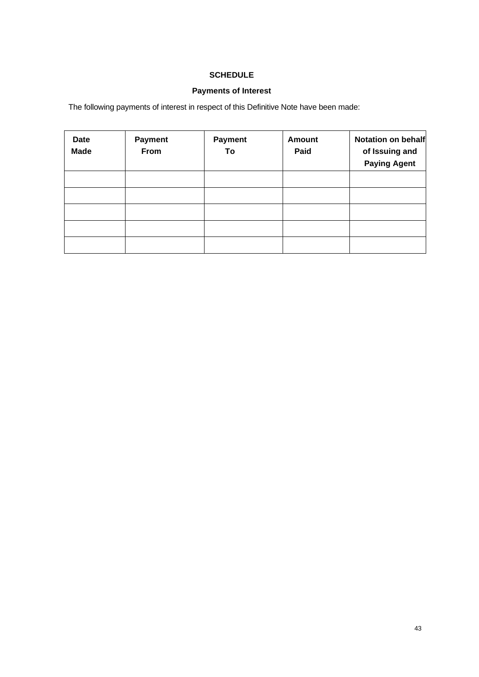# **SCHEDULE**

# **Payments of Interest**

The following payments of interest in respect of this Definitive Note have been made:

| Date<br><b>Made</b> | <b>Payment</b><br>From | <b>Payment</b><br>To | <b>Amount</b><br>Paid | Notation on behalf<br>of Issuing and<br><b>Paying Agent</b> |
|---------------------|------------------------|----------------------|-----------------------|-------------------------------------------------------------|
|                     |                        |                      |                       |                                                             |
|                     |                        |                      |                       |                                                             |
|                     |                        |                      |                       |                                                             |
|                     |                        |                      |                       |                                                             |
|                     |                        |                      |                       |                                                             |